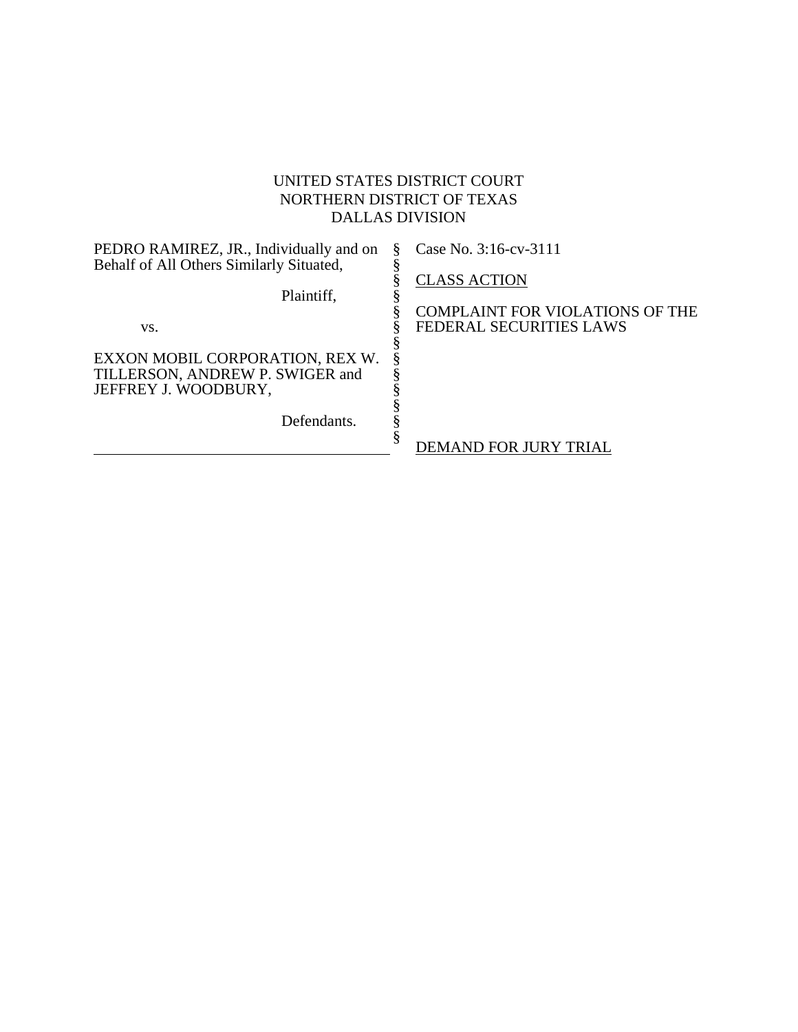# UNITED STATES DISTRICT COURT NORTHERN DISTRICT OF TEXAS DALLAS DIVISION

| PEDRO RAMIREZ, JR., Individually and on  | Case No. 3:16-cv-3111                                             |
|------------------------------------------|-------------------------------------------------------------------|
| Behalf of All Others Similarly Situated, |                                                                   |
|                                          | <b>CLASS ACTION</b>                                               |
| Plaintiff,                               |                                                                   |
|                                          | COMPLAINT FOR VIOLATIONS OF THE<br><b>FEDERAL SECURITIES LAWS</b> |
| VS.                                      |                                                                   |
| EXXON MOBIL CORPORATION, REX W.          |                                                                   |
| TILLERSON, ANDREW P. SWIGER and          |                                                                   |
| JEFFREY J. WOODBURY,                     |                                                                   |
|                                          |                                                                   |
| Defendants.                              |                                                                   |
|                                          | DEMAND FOR JURY TRIAL                                             |
|                                          |                                                                   |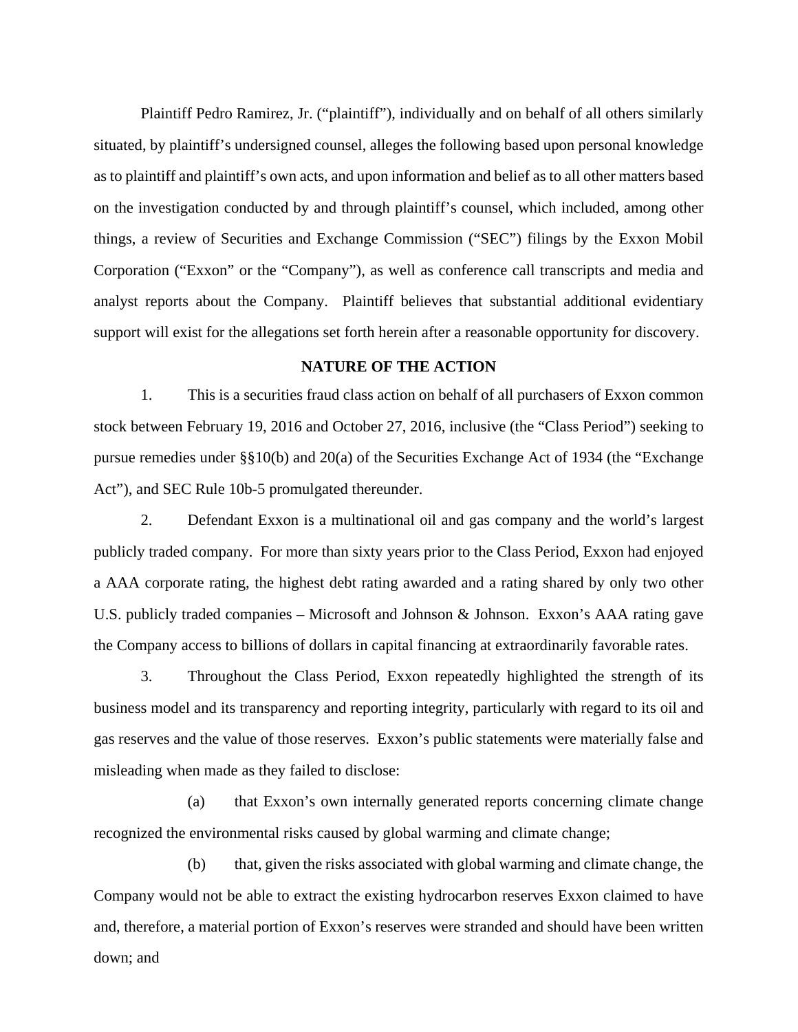Plaintiff Pedro Ramirez, Jr. ("plaintiff"), individually and on behalf of all others similarly situated, by plaintiff's undersigned counsel, alleges the following based upon personal knowledge as to plaintiff and plaintiff's own acts, and upon information and belief as to all other matters based on the investigation conducted by and through plaintiff's counsel, which included, among other things, a review of Securities and Exchange Commission ("SEC") filings by the Exxon Mobil Corporation ("Exxon" or the "Company"), as well as conference call transcripts and media and analyst reports about the Company. Plaintiff believes that substantial additional evidentiary support will exist for the allegations set forth herein after a reasonable opportunity for discovery.

## **NATURE OF THE ACTION**

1. This is a securities fraud class action on behalf of all purchasers of Exxon common stock between February 19, 2016 and October 27, 2016, inclusive (the "Class Period") seeking to pursue remedies under §§10(b) and 20(a) of the Securities Exchange Act of 1934 (the "Exchange Act"), and SEC Rule 10b-5 promulgated thereunder.

2. Defendant Exxon is a multinational oil and gas company and the world's largest publicly traded company. For more than sixty years prior to the Class Period, Exxon had enjoyed a AAA corporate rating, the highest debt rating awarded and a rating shared by only two other U.S. publicly traded companies – Microsoft and Johnson & Johnson. Exxon's AAA rating gave the Company access to billions of dollars in capital financing at extraordinarily favorable rates.

3. Throughout the Class Period, Exxon repeatedly highlighted the strength of its business model and its transparency and reporting integrity, particularly with regard to its oil and gas reserves and the value of those reserves. Exxon's public statements were materially false and misleading when made as they failed to disclose:

(a) that Exxon's own internally generated reports concerning climate change recognized the environmental risks caused by global warming and climate change;

(b) that, given the risks associated with global warming and climate change, the Company would not be able to extract the existing hydrocarbon reserves Exxon claimed to have and, therefore, a material portion of Exxon's reserves were stranded and should have been written down; and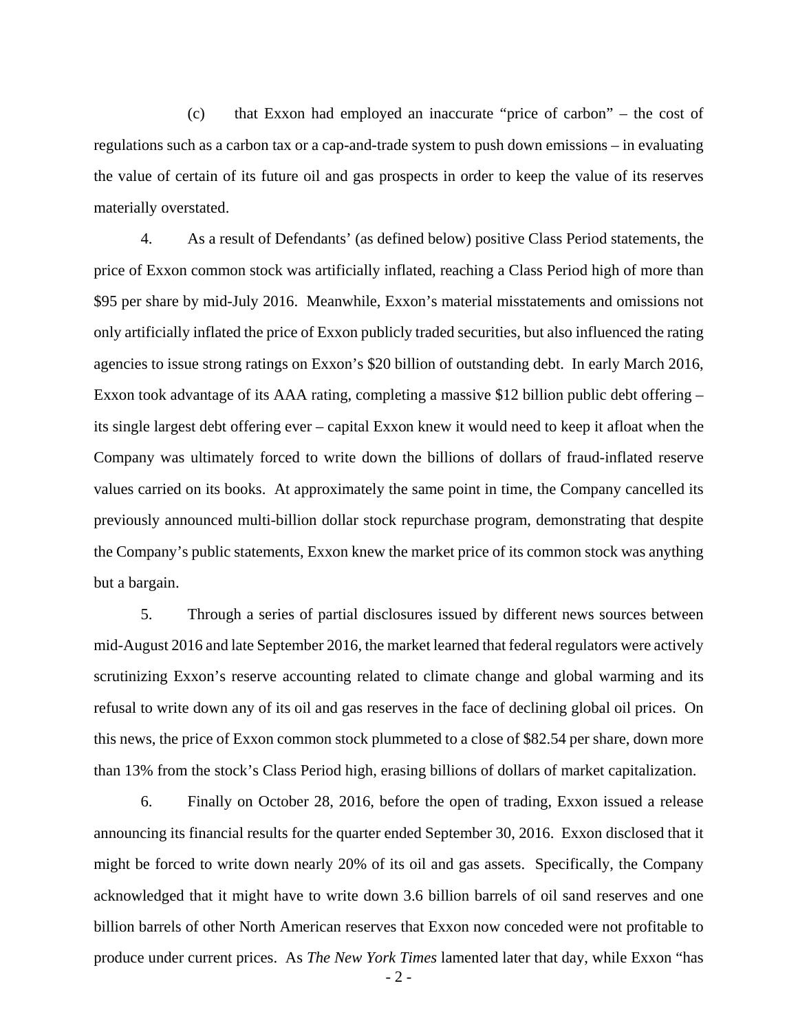(c) that Exxon had employed an inaccurate "price of carbon" – the cost of regulations such as a carbon tax or a cap-and-trade system to push down emissions – in evaluating the value of certain of its future oil and gas prospects in order to keep the value of its reserves materially overstated.

4. As a result of Defendants' (as defined below) positive Class Period statements, the price of Exxon common stock was artificially inflated, reaching a Class Period high of more than \$95 per share by mid-July 2016. Meanwhile, Exxon's material misstatements and omissions not only artificially inflated the price of Exxon publicly traded securities, but also influenced the rating agencies to issue strong ratings on Exxon's \$20 billion of outstanding debt. In early March 2016, Exxon took advantage of its AAA rating, completing a massive \$12 billion public debt offering – its single largest debt offering ever – capital Exxon knew it would need to keep it afloat when the Company was ultimately forced to write down the billions of dollars of fraud-inflated reserve values carried on its books. At approximately the same point in time, the Company cancelled its previously announced multi-billion dollar stock repurchase program, demonstrating that despite the Company's public statements, Exxon knew the market price of its common stock was anything but a bargain.

5. Through a series of partial disclosures issued by different news sources between mid-August 2016 and late September 2016, the market learned that federal regulators were actively scrutinizing Exxon's reserve accounting related to climate change and global warming and its refusal to write down any of its oil and gas reserves in the face of declining global oil prices. On this news, the price of Exxon common stock plummeted to a close of \$82.54 per share, down more than 13% from the stock's Class Period high, erasing billions of dollars of market capitalization.

- 2 - 6. Finally on October 28, 2016, before the open of trading, Exxon issued a release announcing its financial results for the quarter ended September 30, 2016. Exxon disclosed that it might be forced to write down nearly 20% of its oil and gas assets. Specifically, the Company acknowledged that it might have to write down 3.6 billion barrels of oil sand reserves and one billion barrels of other North American reserves that Exxon now conceded were not profitable to produce under current prices. As *The New York Times* lamented later that day, while Exxon "has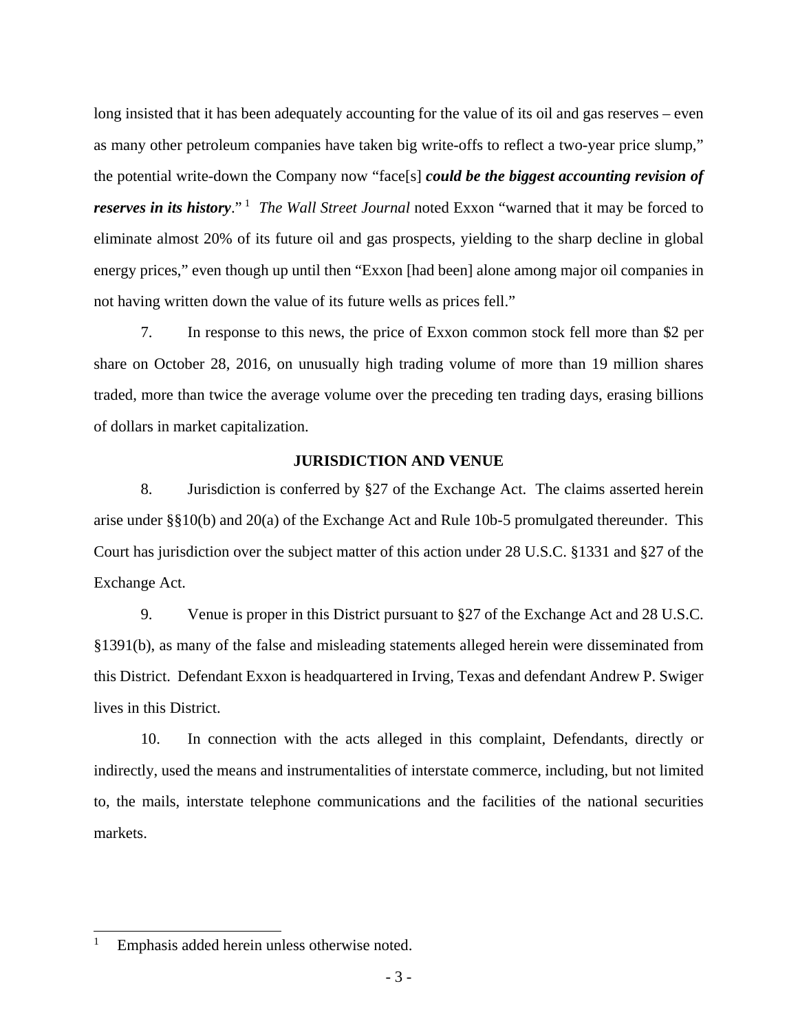long insisted that it has been adequately accounting for the value of its oil and gas reserves – even as many other petroleum companies have taken big write-offs to reflect a two-year price slump," the potential write-down the Company now "face[s] *could be the biggest accounting revision of reserves in its history.*" *The Wall Street Journal* noted Exxon "warned that it may be forced to eliminate almost 20% of its future oil and gas prospects, yielding to the sharp decline in global energy prices," even though up until then "Exxon [had been] alone among major oil companies in not having written down the value of its future wells as prices fell."

7. In response to this news, the price of Exxon common stock fell more than \$2 per share on October 28, 2016, on unusually high trading volume of more than 19 million shares traded, more than twice the average volume over the preceding ten trading days, erasing billions of dollars in market capitalization.

## **JURISDICTION AND VENUE**

8. Jurisdiction is conferred by §27 of the Exchange Act. The claims asserted herein arise under §§10(b) and 20(a) of the Exchange Act and Rule 10b-5 promulgated thereunder. This Court has jurisdiction over the subject matter of this action under 28 U.S.C. §1331 and §27 of the Exchange Act.

9. Venue is proper in this District pursuant to §27 of the Exchange Act and 28 U.S.C. §1391(b), as many of the false and misleading statements alleged herein were disseminated from this District. Defendant Exxon is headquartered in Irving, Texas and defendant Andrew P. Swiger lives in this District.

10. In connection with the acts alleged in this complaint, Defendants, directly or indirectly, used the means and instrumentalities of interstate commerce, including, but not limited to, the mails, interstate telephone communications and the facilities of the national securities markets.

<sup>1</sup> 1 Emphasis added herein unless otherwise noted.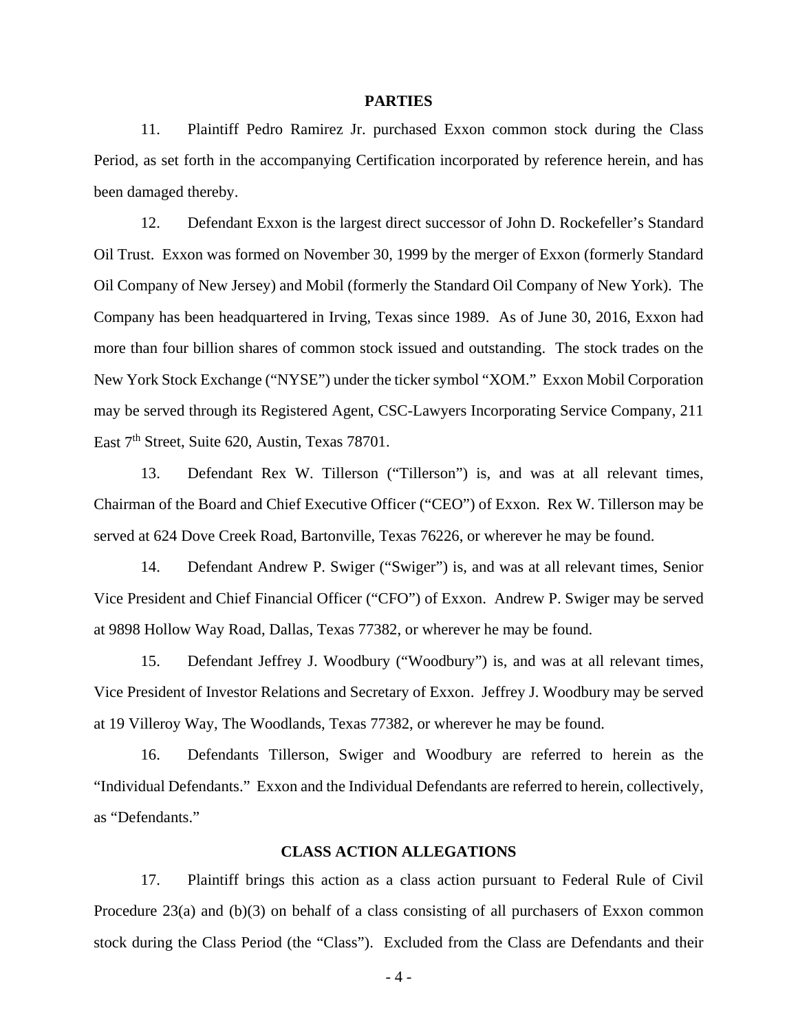#### **PARTIES**

11. Plaintiff Pedro Ramirez Jr. purchased Exxon common stock during the Class Period, as set forth in the accompanying Certification incorporated by reference herein, and has been damaged thereby.

12. Defendant Exxon is the largest direct successor of John D. Rockefeller's Standard Oil Trust. Exxon was formed on November 30, 1999 by the merger of Exxon (formerly Standard Oil Company of New Jersey) and Mobil (formerly the Standard Oil Company of New York). The Company has been headquartered in Irving, Texas since 1989. As of June 30, 2016, Exxon had more than four billion shares of common stock issued and outstanding. The stock trades on the New York Stock Exchange ("NYSE") under the ticker symbol "XOM." Exxon Mobil Corporation may be served through its Registered Agent, CSC-Lawyers Incorporating Service Company, 211 East 7<sup>th</sup> Street, Suite 620, Austin, Texas 78701.

13. Defendant Rex W. Tillerson ("Tillerson") is, and was at all relevant times, Chairman of the Board and Chief Executive Officer ("CEO") of Exxon. Rex W. Tillerson may be served at 624 Dove Creek Road, Bartonville, Texas 76226, or wherever he may be found.

14. Defendant Andrew P. Swiger ("Swiger") is, and was at all relevant times, Senior Vice President and Chief Financial Officer ("CFO") of Exxon. Andrew P. Swiger may be served at 9898 Hollow Way Road, Dallas, Texas 77382, or wherever he may be found.

15. Defendant Jeffrey J. Woodbury ("Woodbury") is, and was at all relevant times, Vice President of Investor Relations and Secretary of Exxon. Jeffrey J. Woodbury may be served at 19 Villeroy Way, The Woodlands, Texas 77382, or wherever he may be found.

16. Defendants Tillerson, Swiger and Woodbury are referred to herein as the "Individual Defendants." Exxon and the Individual Defendants are referred to herein, collectively, as "Defendants."

#### **CLASS ACTION ALLEGATIONS**

17. Plaintiff brings this action as a class action pursuant to Federal Rule of Civil Procedure 23(a) and (b)(3) on behalf of a class consisting of all purchasers of Exxon common stock during the Class Period (the "Class"). Excluded from the Class are Defendants and their

- 4 -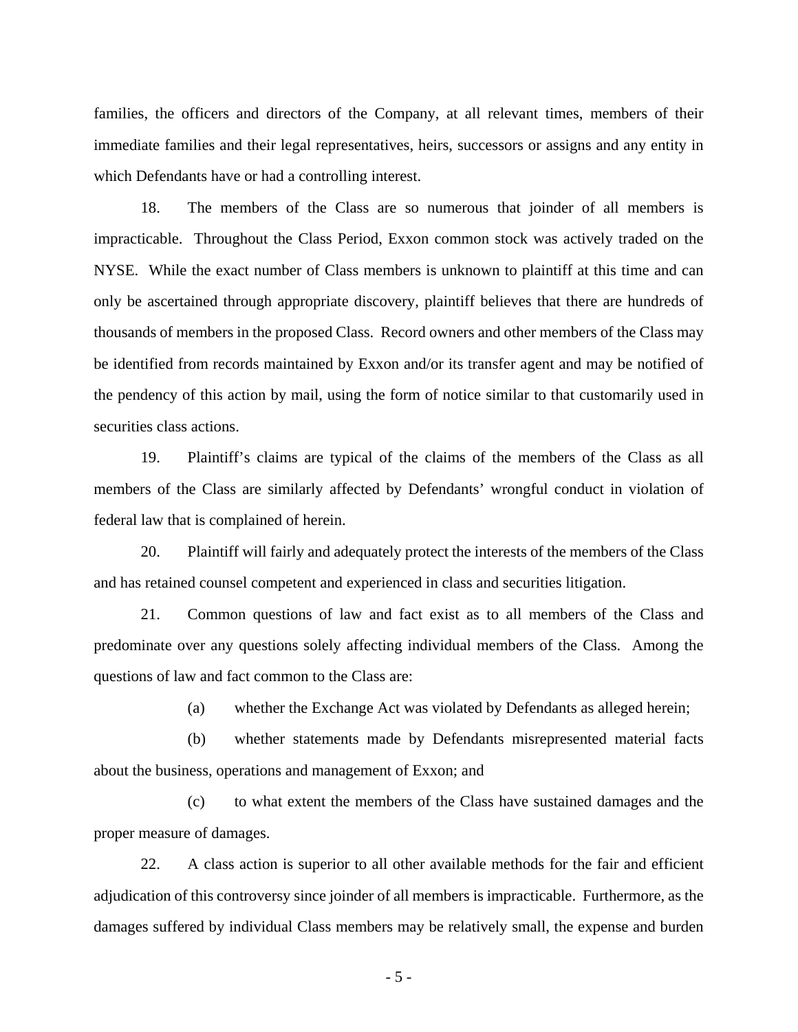families, the officers and directors of the Company, at all relevant times, members of their immediate families and their legal representatives, heirs, successors or assigns and any entity in which Defendants have or had a controlling interest.

18. The members of the Class are so numerous that joinder of all members is impracticable. Throughout the Class Period, Exxon common stock was actively traded on the NYSE. While the exact number of Class members is unknown to plaintiff at this time and can only be ascertained through appropriate discovery, plaintiff believes that there are hundreds of thousands of members in the proposed Class. Record owners and other members of the Class may be identified from records maintained by Exxon and/or its transfer agent and may be notified of the pendency of this action by mail, using the form of notice similar to that customarily used in securities class actions.

19. Plaintiff's claims are typical of the claims of the members of the Class as all members of the Class are similarly affected by Defendants' wrongful conduct in violation of federal law that is complained of herein.

20. Plaintiff will fairly and adequately protect the interests of the members of the Class and has retained counsel competent and experienced in class and securities litigation.

21. Common questions of law and fact exist as to all members of the Class and predominate over any questions solely affecting individual members of the Class. Among the questions of law and fact common to the Class are:

(a) whether the Exchange Act was violated by Defendants as alleged herein;

(b) whether statements made by Defendants misrepresented material facts about the business, operations and management of Exxon; and

(c) to what extent the members of the Class have sustained damages and the proper measure of damages.

22. A class action is superior to all other available methods for the fair and efficient adjudication of this controversy since joinder of all members is impracticable. Furthermore, as the damages suffered by individual Class members may be relatively small, the expense and burden

- 5 -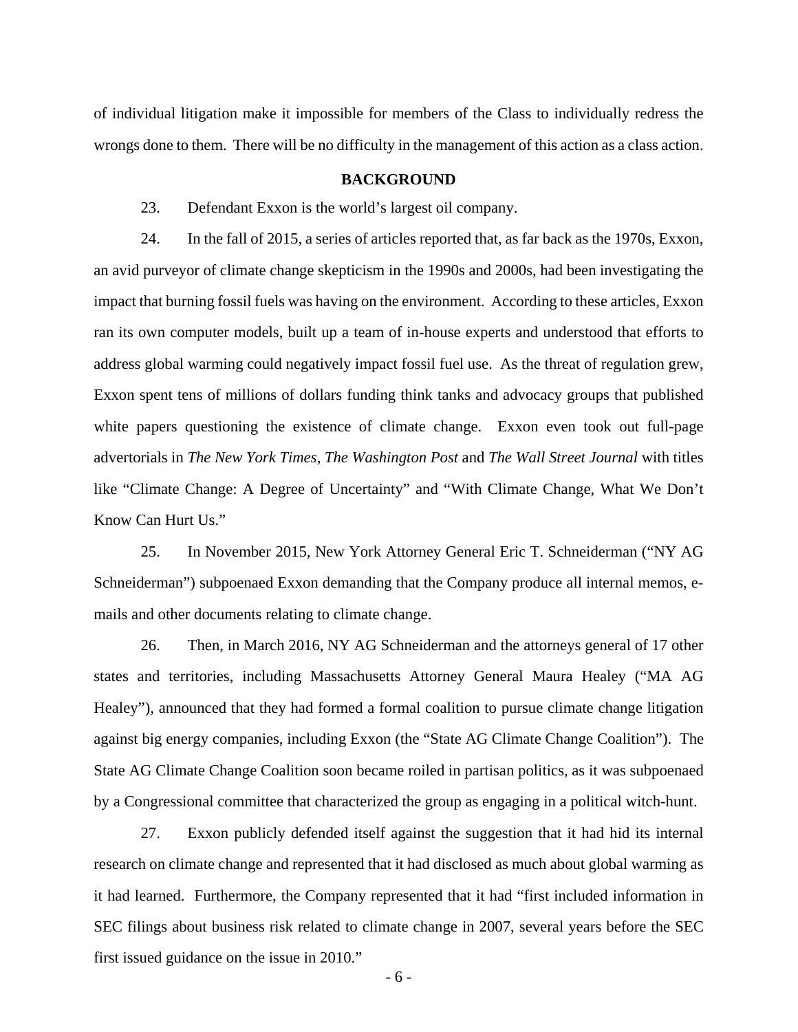of individual litigation make it impossible for members of the Class to individually redress the wrongs done to them. There will be no difficulty in the management of this action as a class action.

### **BACKGROUND**

23. Defendant Exxon is the world's largest oil company.

24. In the fall of 2015, a series of articles reported that, as far back as the 1970s, Exxon, an avid purveyor of climate change skepticism in the 1990s and 2000s, had been investigating the impact that burning fossil fuels was having on the environment. According to these articles, Exxon ran its own computer models, built up a team of in-house experts and understood that efforts to address global warming could negatively impact fossil fuel use. As the threat of regulation grew, Exxon spent tens of millions of dollars funding think tanks and advocacy groups that published white papers questioning the existence of climate change. Exxon even took out full-page advertorials in *The New York Times*, *The Washington Post* and *The Wall Street Journal* with titles like "Climate Change: A Degree of Uncertainty" and "With Climate Change, What We Don't Know Can Hurt Us."

25. In November 2015, New York Attorney General Eric T. Schneiderman ("NY AG Schneiderman") subpoenaed Exxon demanding that the Company produce all internal memos, emails and other documents relating to climate change.

26. Then, in March 2016, NY AG Schneiderman and the attorneys general of 17 other states and territories, including Massachusetts Attorney General Maura Healey ("MA AG Healey"), announced that they had formed a formal coalition to pursue climate change litigation against big energy companies, including Exxon (the "State AG Climate Change Coalition"). The State AG Climate Change Coalition soon became roiled in partisan politics, as it was subpoenaed by a Congressional committee that characterized the group as engaging in a political witch-hunt.

27. Exxon publicly defended itself against the suggestion that it had hid its internal research on climate change and represented that it had disclosed as much about global warming as it had learned. Furthermore, the Company represented that it had "first included information in SEC filings about business risk related to climate change in 2007, several years before the SEC first issued guidance on the issue in 2010."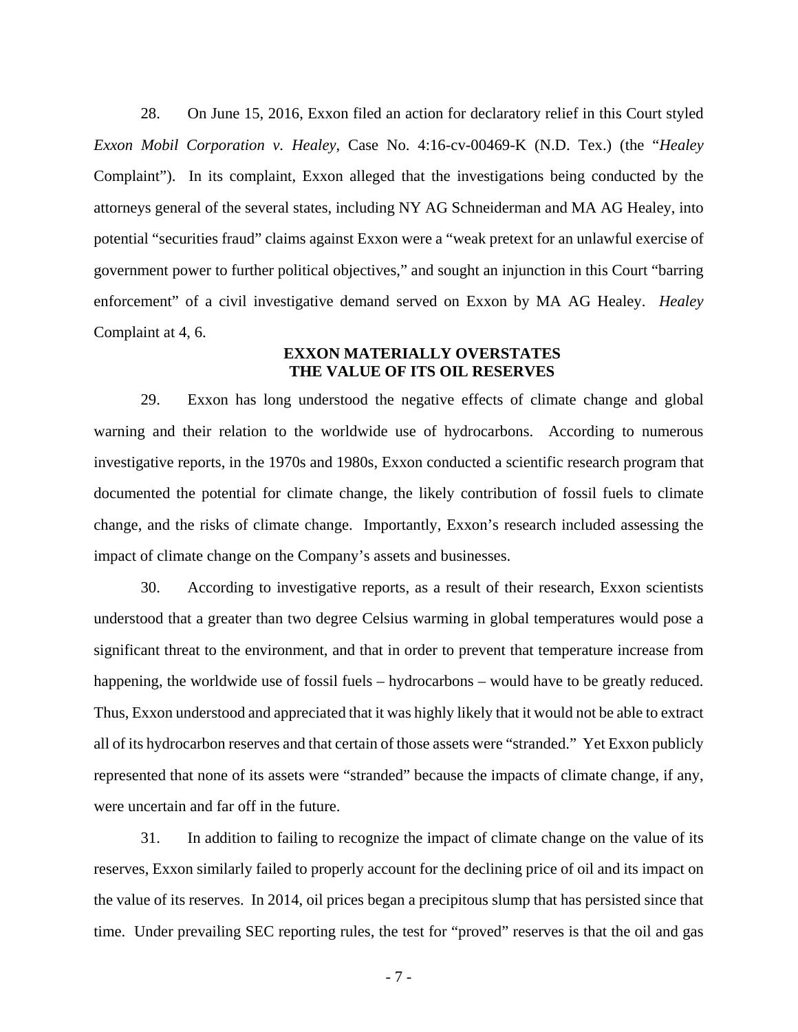28. On June 15, 2016, Exxon filed an action for declaratory relief in this Court styled *Exxon Mobil Corporation v. Healey*, Case No. 4:16-cv-00469-K (N.D. Tex.) (the "*Healey* Complaint"). In its complaint, Exxon alleged that the investigations being conducted by the attorneys general of the several states, including NY AG Schneiderman and MA AG Healey, into potential "securities fraud" claims against Exxon were a "weak pretext for an unlawful exercise of government power to further political objectives," and sought an injunction in this Court "barring enforcement" of a civil investigative demand served on Exxon by MA AG Healey. *Healey* Complaint at 4, 6.

## **EXXON MATERIALLY OVERSTATES THE VALUE OF ITS OIL RESERVES**

29. Exxon has long understood the negative effects of climate change and global warning and their relation to the worldwide use of hydrocarbons. According to numerous investigative reports, in the 1970s and 1980s, Exxon conducted a scientific research program that documented the potential for climate change, the likely contribution of fossil fuels to climate change, and the risks of climate change. Importantly, Exxon's research included assessing the impact of climate change on the Company's assets and businesses.

30. According to investigative reports, as a result of their research, Exxon scientists understood that a greater than two degree Celsius warming in global temperatures would pose a significant threat to the environment, and that in order to prevent that temperature increase from happening, the worldwide use of fossil fuels – hydrocarbons – would have to be greatly reduced. Thus, Exxon understood and appreciated that it was highly likely that it would not be able to extract all of its hydrocarbon reserves and that certain of those assets were "stranded." Yet Exxon publicly represented that none of its assets were "stranded" because the impacts of climate change, if any, were uncertain and far off in the future.

31. In addition to failing to recognize the impact of climate change on the value of its reserves, Exxon similarly failed to properly account for the declining price of oil and its impact on the value of its reserves. In 2014, oil prices began a precipitous slump that has persisted since that time. Under prevailing SEC reporting rules, the test for "proved" reserves is that the oil and gas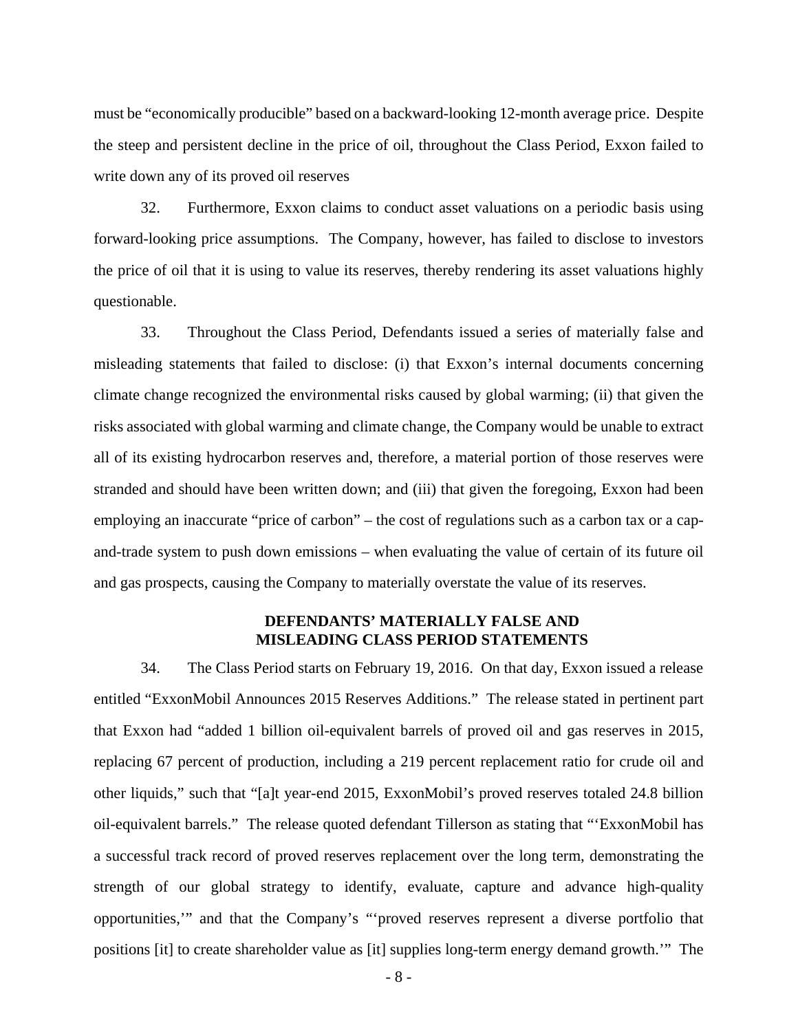must be "economically producible" based on a backward-looking 12-month average price. Despite the steep and persistent decline in the price of oil, throughout the Class Period, Exxon failed to write down any of its proved oil reserves

32. Furthermore, Exxon claims to conduct asset valuations on a periodic basis using forward-looking price assumptions. The Company, however, has failed to disclose to investors the price of oil that it is using to value its reserves, thereby rendering its asset valuations highly questionable.

33. Throughout the Class Period, Defendants issued a series of materially false and misleading statements that failed to disclose: (i) that Exxon's internal documents concerning climate change recognized the environmental risks caused by global warming; (ii) that given the risks associated with global warming and climate change, the Company would be unable to extract all of its existing hydrocarbon reserves and, therefore, a material portion of those reserves were stranded and should have been written down; and (iii) that given the foregoing, Exxon had been employing an inaccurate "price of carbon" – the cost of regulations such as a carbon tax or a capand-trade system to push down emissions – when evaluating the value of certain of its future oil and gas prospects, causing the Company to materially overstate the value of its reserves.

## **DEFENDANTS' MATERIALLY FALSE AND MISLEADING CLASS PERIOD STATEMENTS**

34. The Class Period starts on February 19, 2016. On that day, Exxon issued a release entitled "ExxonMobil Announces 2015 Reserves Additions." The release stated in pertinent part that Exxon had "added 1 billion oil-equivalent barrels of proved oil and gas reserves in 2015, replacing 67 percent of production, including a 219 percent replacement ratio for crude oil and other liquids," such that "[a]t year-end 2015, ExxonMobil's proved reserves totaled 24.8 billion oil-equivalent barrels." The release quoted defendant Tillerson as stating that "'ExxonMobil has a successful track record of proved reserves replacement over the long term, demonstrating the strength of our global strategy to identify, evaluate, capture and advance high-quality opportunities,'" and that the Company's "'proved reserves represent a diverse portfolio that positions [it] to create shareholder value as [it] supplies long-term energy demand growth.'" The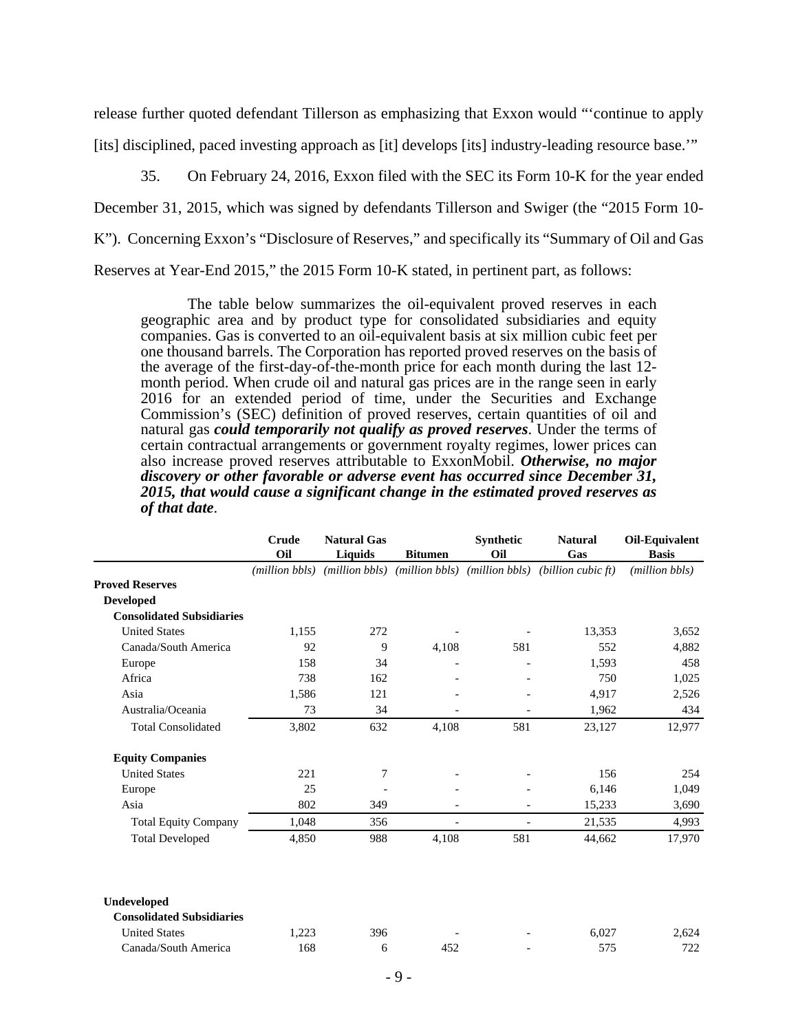release further quoted defendant Tillerson as emphasizing that Exxon would "'continue to apply [its] disciplined, paced investing approach as [it] develops [its] industry-leading resource base.'"

35. On February 24, 2016, Exxon filed with the SEC its Form 10-K for the year ended December 31, 2015, which was signed by defendants Tillerson and Swiger (the "2015 Form 10- K"). Concerning Exxon's "Disclosure of Reserves," and specifically its "Summary of Oil and Gas Reserves at Year-End 2015," the 2015 Form 10-K stated, in pertinent part, as follows:

The table below summarizes the oil-equivalent proved reserves in each geographic area and by product type for consolidated subsidiaries and equity companies. Gas is converted to an oil-equivalent basis at six million cubic feet per one thousand barrels. The Corporation has reported proved reserves on the basis of the average of the first-day-of-the-month price for each month during the last 12 month period. When crude oil and natural gas prices are in the range seen in early 2016 for an extended period of time, under the Securities and Exchange Commission's (SEC) definition of proved reserves, certain quantities of oil and natural gas *could temporarily not qualify as proved reserves*. Under the terms of certain contractual arrangements or government royalty regimes, lower prices can also increase proved reserves attributable to ExxonMobil. *Otherwise, no major discovery or other favorable or adverse event has occurred since December 31, 2015, that would cause a significant change in the estimated proved reserves as of that date*.

|                                  | Crude                   | <b>Natural Gas</b> |                               | Synthetic                | <b>Natural</b>     | Oil-Equivalent |
|----------------------------------|-------------------------|--------------------|-------------------------------|--------------------------|--------------------|----------------|
|                                  | Oil                     | Liquids            | <b>Bitumen</b>                | Oil                      | Gas                | <b>Basis</b>   |
|                                  | ( <i>million bbls</i> ) |                    | (million bbls) (million bbls) | ( <i>million bbls</i> )  | (billion cubic ft) | (million bbls) |
| <b>Proved Reserves</b>           |                         |                    |                               |                          |                    |                |
| <b>Developed</b>                 |                         |                    |                               |                          |                    |                |
| <b>Consolidated Subsidiaries</b> |                         |                    |                               |                          |                    |                |
| <b>United States</b>             | 1.155                   | 272                |                               |                          | 13,353             | 3,652          |
| Canada/South America             | 92                      | 9                  | 4,108                         | 581                      | 552                | 4,882          |
| Europe                           | 158                     | 34                 | $\overline{a}$                |                          | 1.593              | 458            |
| Africa                           | 738                     | 162                |                               |                          | 750                | 1,025          |
| Asia                             | 1,586                   | 121                |                               |                          | 4,917              | 2,526          |
| Australia/Oceania                | 73                      | 34                 |                               |                          | 1,962              | 434            |
| <b>Total Consolidated</b>        | 3,802                   | 632                | 4,108                         | 581                      | 23,127             | 12,977         |
| <b>Equity Companies</b>          |                         |                    |                               |                          |                    |                |
| <b>United States</b>             | 221                     | 7                  |                               | $\overline{\phantom{a}}$ | 156                | 254            |
| Europe                           | 25                      |                    |                               |                          | 6.146              | 1,049          |
| Asia                             | 802                     | 349                |                               |                          | 15,233             | 3,690          |
| <b>Total Equity Company</b>      | 1,048                   | 356                | $\overline{\phantom{a}}$      | $\overline{\phantom{a}}$ | 21,535             | 4,993          |
| <b>Total Developed</b>           | 4,850                   | 988                | 4,108                         | 581                      | 44,662             | 17,970         |
| Undeveloped                      |                         |                    |                               |                          |                    |                |
| <b>Consolidated Subsidiaries</b> |                         |                    |                               |                          |                    |                |
| <b>United States</b>             | 1,223                   | 396                |                               |                          | 6,027              | 2,624          |

Canada/South America 168 6 452 - 575 722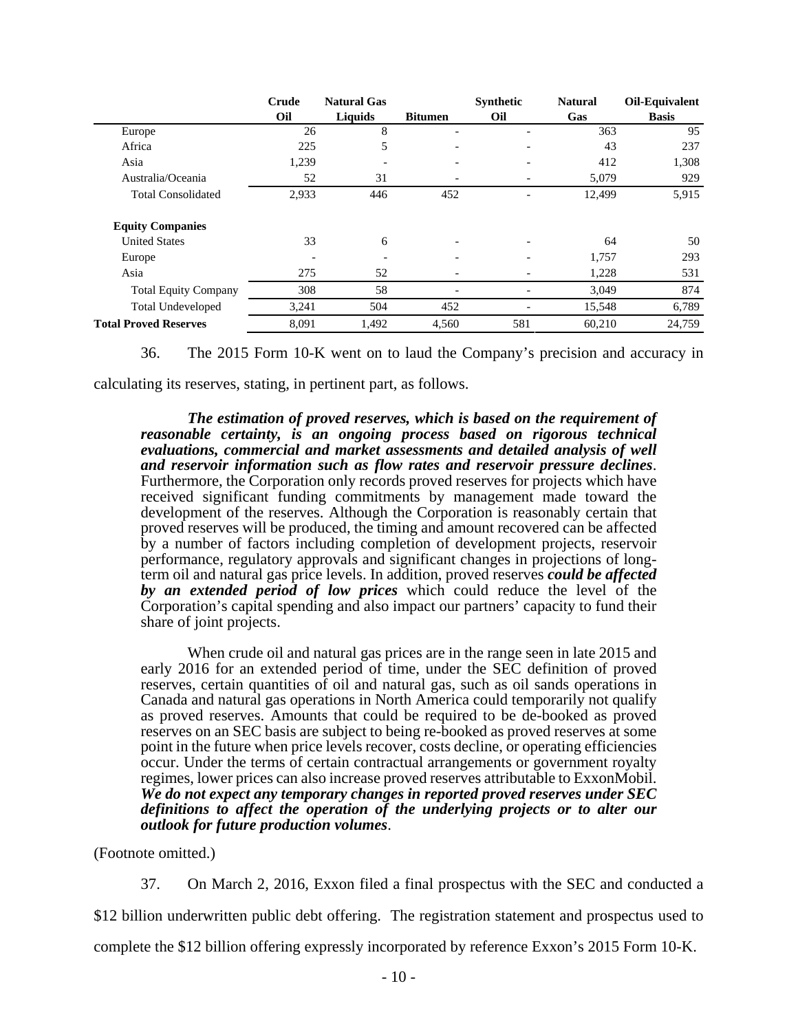|                              | Crude | <b>Natural Gas</b> |                          | <b>Synthetic</b> | <b>Natural</b> | Oil-Equivalent |
|------------------------------|-------|--------------------|--------------------------|------------------|----------------|----------------|
|                              | Oil   | Liquids            | <b>Bitumen</b>           | Oil              | Gas            | <b>Basis</b>   |
| Europe                       | 26    | 8                  |                          |                  | 363            | 95             |
| Africa                       | 225   | 5                  |                          |                  | 43             | 237            |
| Asia                         | 1,239 |                    | $\overline{\phantom{0}}$ |                  | 412            | 1,308          |
| Australia/Oceania            | 52    | 31                 | $\qquad \qquad$          |                  | 5,079          | 929            |
| <b>Total Consolidated</b>    | 2,933 | 446                | 452                      |                  | 12,499         | 5,915          |
| <b>Equity Companies</b>      |       |                    |                          |                  |                |                |
| <b>United States</b>         | 33    | 6                  | $\overline{\phantom{0}}$ |                  | 64             | 50             |
| Europe                       |       |                    | $\overline{\phantom{0}}$ |                  | 1,757          | 293            |
| Asia                         | 275   | 52                 | $\overline{\phantom{0}}$ |                  | 1,228          | 531            |
| <b>Total Equity Company</b>  | 308   | 58                 |                          |                  | 3,049          | 874            |
| <b>Total Undeveloped</b>     | 3,241 | 504                | 452                      |                  | 15,548         | 6,789          |
| <b>Total Proved Reserves</b> | 8,091 | 1,492              | 4,560                    | 581              | 60,210         | 24,759         |

36. The 2015 Form 10-K went on to laud the Company's precision and accuracy in

calculating its reserves, stating, in pertinent part, as follows.

*The estimation of proved reserves, which is based on the requirement of reasonable certainty, is an ongoing process based on rigorous technical evaluations, commercial and market assessments and detailed analysis of well and reservoir information such as flow rates and reservoir pressure declines*. Furthermore, the Corporation only records proved reserves for projects which have received significant funding commitments by management made toward the development of the reserves. Although the Corporation is reasonably certain that proved reserves will be produced, the timing and amount recovered can be affected by a number of factors including completion of development projects, reservoir performance, regulatory approvals and significant changes in projections of longterm oil and natural gas price levels. In addition, proved reserves *could be affected by an extended period of low prices* which could reduce the level of the Corporation's capital spending and also impact our partners' capacity to fund their share of joint projects.

When crude oil and natural gas prices are in the range seen in late 2015 and early 2016 for an extended period of time, under the SEC definition of proved reserves, certain quantities of oil and natural gas, such as oil sands operations in Canada and natural gas operations in North America could temporarily not qualify as proved reserves. Amounts that could be required to be de-booked as proved reserves on an SEC basis are subject to being re-booked as proved reserves at some point in the future when price levels recover, costs decline, or operating efficiencies occur. Under the terms of certain contractual arrangements or government royalty regimes, lower prices can also increase proved reserves attributable to ExxonMobil. *We do not expect any temporary changes in reported proved reserves under SEC definitions to affect the operation of the underlying projects or to alter our outlook for future production volumes*.

(Footnote omitted.)

37. On March 2, 2016, Exxon filed a final prospectus with the SEC and conducted a

\$12 billion underwritten public debt offering. The registration statement and prospectus used to

complete the \$12 billion offering expressly incorporated by reference Exxon's 2015 Form 10-K.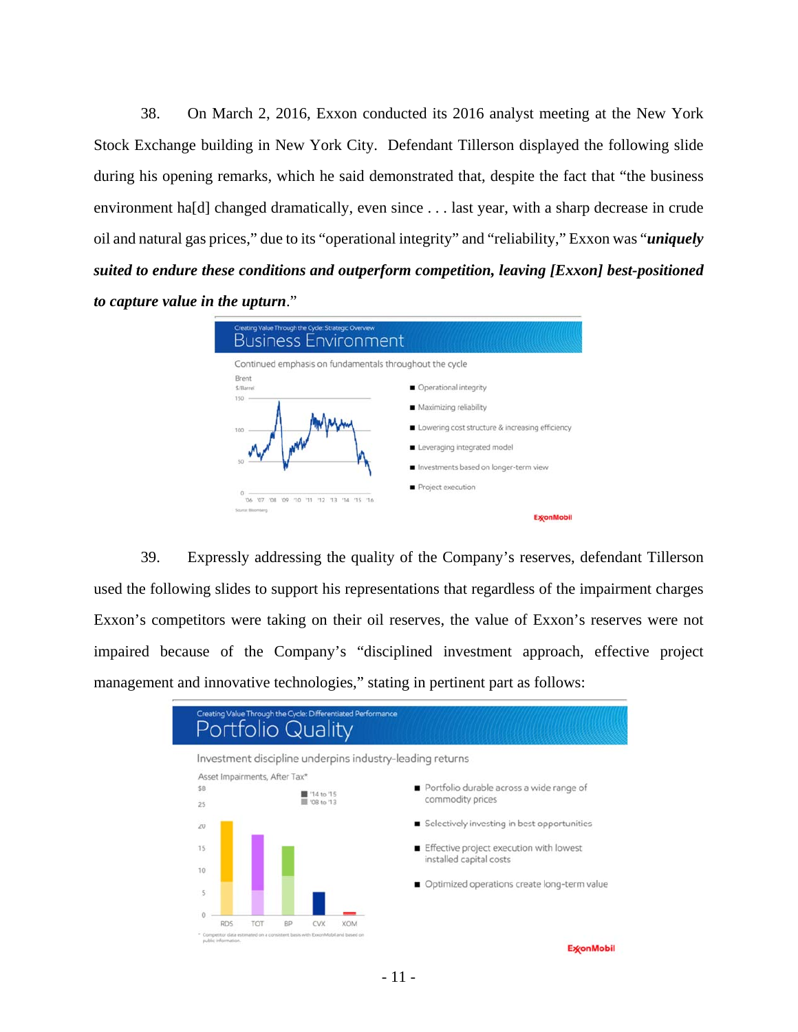38. On March 2, 2016, Exxon conducted its 2016 analyst meeting at the New York Stock Exchange building in New York City. Defendant Tillerson displayed the following slide during his opening remarks, which he said demonstrated that, despite the fact that "the business environment ha[d] changed dramatically, even since . . . last year, with a sharp decrease in crude oil and natural gas prices," due to its "operational integrity" and "reliability," Exxon was "*uniquely suited to endure these conditions and outperform competition, leaving [Exxon] best-positioned to capture value in the upturn*."



39. Expressly addressing the quality of the Company's reserves, defendant Tillerson used the following slides to support his representations that regardless of the impairment charges Exxon's competitors were taking on their oil reserves, the value of Exxon's reserves were not impaired because of the Company's "disciplined investment approach, effective project management and innovative technologies," stating in pertinent part as follows:



**ExconMobil**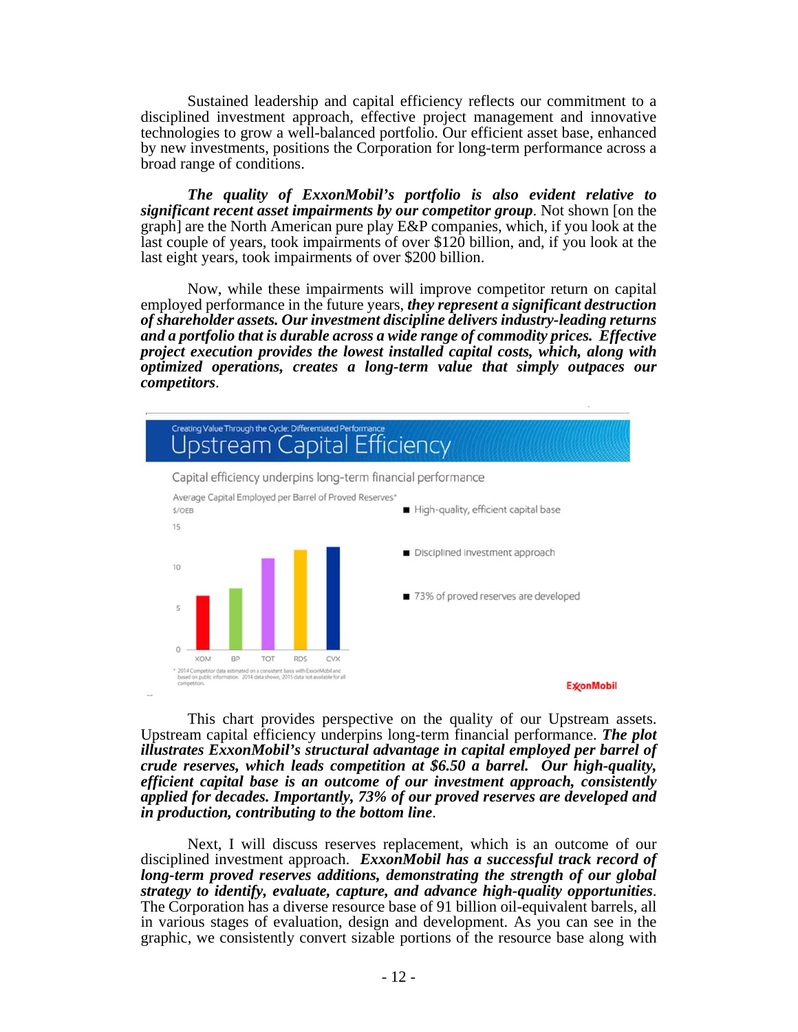Sustained leadership and capital efficiency reflects our commitment to a disciplined investment approach, effective project management and innovative technologies to grow a well-balanced portfolio. Our efficient asset base, enhanced by new investments, positions the Corporation for long-term performance across a broad range of conditions.

*The quality of ExxonMobil's portfolio is also evident relative to significant recent asset impairments by our competitor group*. Not shown [on the graph] are the North American pure play E&P companies, which, if you look at the last couple of years, took impairments of over \$120 billion, and, if you look at the last eight years, took impairments of over \$200 billion.

Now, while these impairments will improve competitor return on capital employed performance in the future years, *they represent a significant destruction of shareholder assets. Our investment discipline delivers industry-leading returns and a portfolio that is durable across a wide range of commodity prices. Effective project execution provides the lowest installed capital costs, which, along with optimized operations, creates a long-term value that simply outpaces our competitors*.



This chart provides perspective on the quality of our Upstream assets. Upstream capital efficiency underpins long-term financial performance. *The plot illustrates ExxonMobil's structural advantage in capital employed per barrel of crude reserves, which leads competition at \$6.50 a barrel. Our high-quality, efficient capital base is an outcome of our investment approach, consistently applied for decades. Importantly, 73% of our proved reserves are developed and in production, contributing to the bottom line*.

Next, I will discuss reserves replacement, which is an outcome of our disciplined investment approach. *ExxonMobil has a successful track record of long-term proved reserves additions, demonstrating the strength of our global strategy to identify, evaluate, capture, and advance high-quality opportunities*. The Corporation has a diverse resource base of 91 billion oil-equivalent barrels, all in various stages of evaluation, design and development. As you can see in the graphic, we consistently convert sizable portions of the resource base along with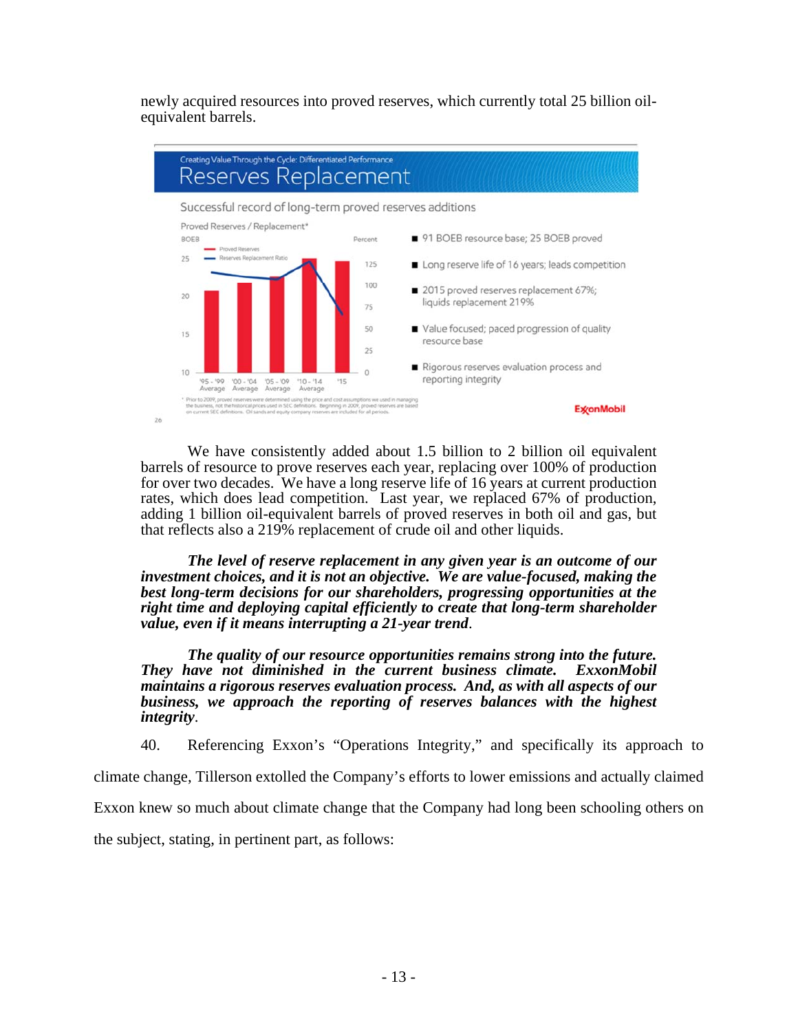newly acquired resources into proved reserves, which currently total 25 billion oilequivalent barrels.



We have consistently added about 1.5 billion to 2 billion oil equivalent barrels of resource to prove reserves each year, replacing over 100% of production for over two decades. We have a long reserve life of 16 years at current production rates, which does lead competition. Last year, we replaced 67% of production, adding 1 billion oil-equivalent barrels of proved reserves in both oil and gas, but that reflects also a 219% replacement of crude oil and other liquids.

*The level of reserve replacement in any given year is an outcome of our investment choices, and it is not an objective. We are value-focused, making the best long-term decisions for our shareholders, progressing opportunities at the right time and deploying capital efficiently to create that long-term shareholder value, even if it means interrupting a 21-year trend*.

*The quality of our resource opportunities remains strong into the future. They have not diminished in the current business climate. ExxonMobil maintains a rigorous reserves evaluation process. And, as with all aspects of our business, we approach the reporting of reserves balances with the highest integrity*.

40. Referencing Exxon's "Operations Integrity," and specifically its approach to

climate change, Tillerson extolled the Company's efforts to lower emissions and actually claimed

Exxon knew so much about climate change that the Company had long been schooling others on

the subject, stating, in pertinent part, as follows: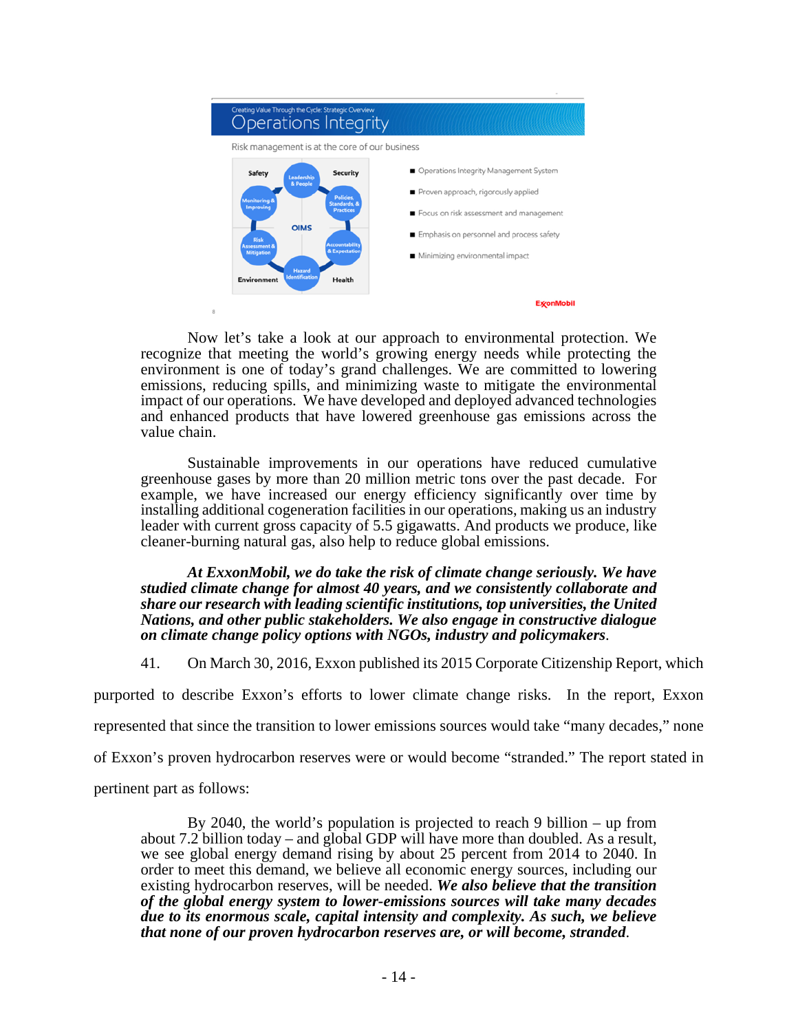

Now let's take a look at our approach to environmental protection. We recognize that meeting the world's growing energy needs while protecting the environment is one of today's grand challenges. We are committed to lowering emissions, reducing spills, and minimizing waste to mitigate the environmental impact of our operations. We have developed and deployed advanced technologies and enhanced products that have lowered greenhouse gas emissions across the value chain.

Sustainable improvements in our operations have reduced cumulative greenhouse gases by more than 20 million metric tons over the past decade. For example, we have increased our energy efficiency significantly over time by installing additional cogeneration facilities in our operations, making us an industry leader with current gross capacity of 5.5 gigawatts. And products we produce, like cleaner-burning natural gas, also help to reduce global emissions.

*At ExxonMobil, we do take the risk of climate change seriously. We have studied climate change for almost 40 years, and we consistently collaborate and share our research with leading scientific institutions, top universities, the United Nations, and other public stakeholders. We also engage in constructive dialogue on climate change policy options with NGOs, industry and policymakers*.

41. On March 30, 2016, Exxon published its 2015 Corporate Citizenship Report, which

purported to describe Exxon's efforts to lower climate change risks. In the report, Exxon

represented that since the transition to lower emissions sources would take "many decades," none

of Exxon's proven hydrocarbon reserves were or would become "stranded." The report stated in

pertinent part as follows:

By 2040, the world's population is projected to reach 9 billion – up from about 7.2 billion today – and global GDP will have more than doubled. As a result, we see global energy demand rising by about 25 percent from 2014 to 2040. In order to meet this demand, we believe all economic energy sources, including our existing hydrocarbon reserves, will be needed. *We also believe that the transition of the global energy system to lower-emissions sources will take many decades due to its enormous scale, capital intensity and complexity. As such, we believe that none of our proven hydrocarbon reserves are, or will become, stranded*.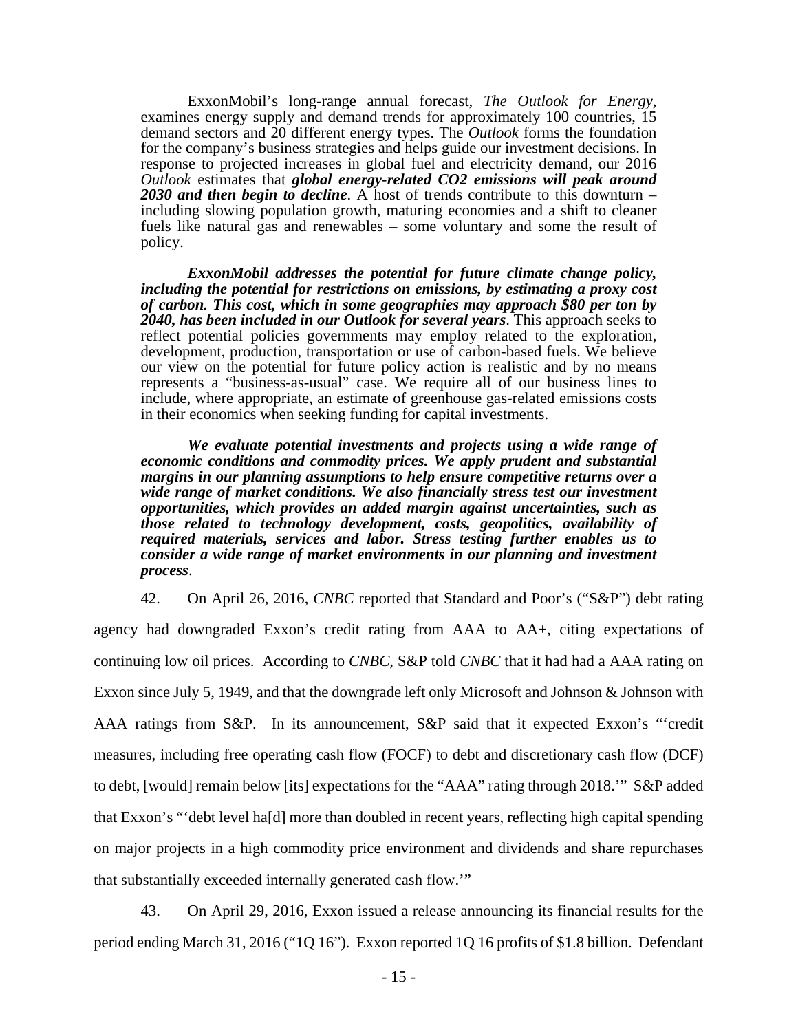ExxonMobil's long-range annual forecast, *The Outlook for Energy*, examines energy supply and demand trends for approximately 100 countries, 15 demand sectors and 20 different energy types. The *Outlook* forms the foundation for the company's business strategies and helps guide our investment decisions. In response to projected increases in global fuel and electricity demand, our 2016 *Outlook* estimates that *global energy-related CO2 emissions will peak around 2030 and then begin to decline*. A host of trends contribute to this downturn – including slowing population growth, maturing economies and a shift to cleaner fuels like natural gas and renewables – some voluntary and some the result of policy.

*ExxonMobil addresses the potential for future climate change policy, including the potential for restrictions on emissions, by estimating a proxy cost of carbon. This cost, which in some geographies may approach \$80 per ton by 2040, has been included in our Outlook for several years*. This approach seeks to reflect potential policies governments may employ related to the exploration, development, production, transportation or use of carbon-based fuels. We believe our view on the potential for future policy action is realistic and by no means represents a "business-as-usual" case. We require all of our business lines to include, where appropriate, an estimate of greenhouse gas-related emissions costs in their economics when seeking funding for capital investments.

*We evaluate potential investments and projects using a wide range of economic conditions and commodity prices. We apply prudent and substantial margins in our planning assumptions to help ensure competitive returns over a wide range of market conditions. We also financially stress test our investment opportunities, which provides an added margin against uncertainties, such as those related to technology development, costs, geopolitics, availability of required materials, services and labor. Stress testing further enables us to consider a wide range of market environments in our planning and investment process*.

42. On April 26, 2016, *CNBC* reported that Standard and Poor's ("S&P") debt rating agency had downgraded Exxon's credit rating from AAA to AA+, citing expectations of continuing low oil prices. According to *CNBC*, S&P told *CNBC* that it had had a AAA rating on Exxon since July 5, 1949, and that the downgrade left only Microsoft and Johnson & Johnson with AAA ratings from S&P. In its announcement, S&P said that it expected Exxon's "'credit measures, including free operating cash flow (FOCF) to debt and discretionary cash flow (DCF) to debt, [would] remain below [its] expectations for the "AAA" rating through 2018.'" S&P added that Exxon's "'debt level ha[d] more than doubled in recent years, reflecting high capital spending on major projects in a high commodity price environment and dividends and share repurchases that substantially exceeded internally generated cash flow.'"

43. On April 29, 2016, Exxon issued a release announcing its financial results for the period ending March 31, 2016 ("1Q 16"). Exxon reported 1Q 16 profits of \$1.8 billion. Defendant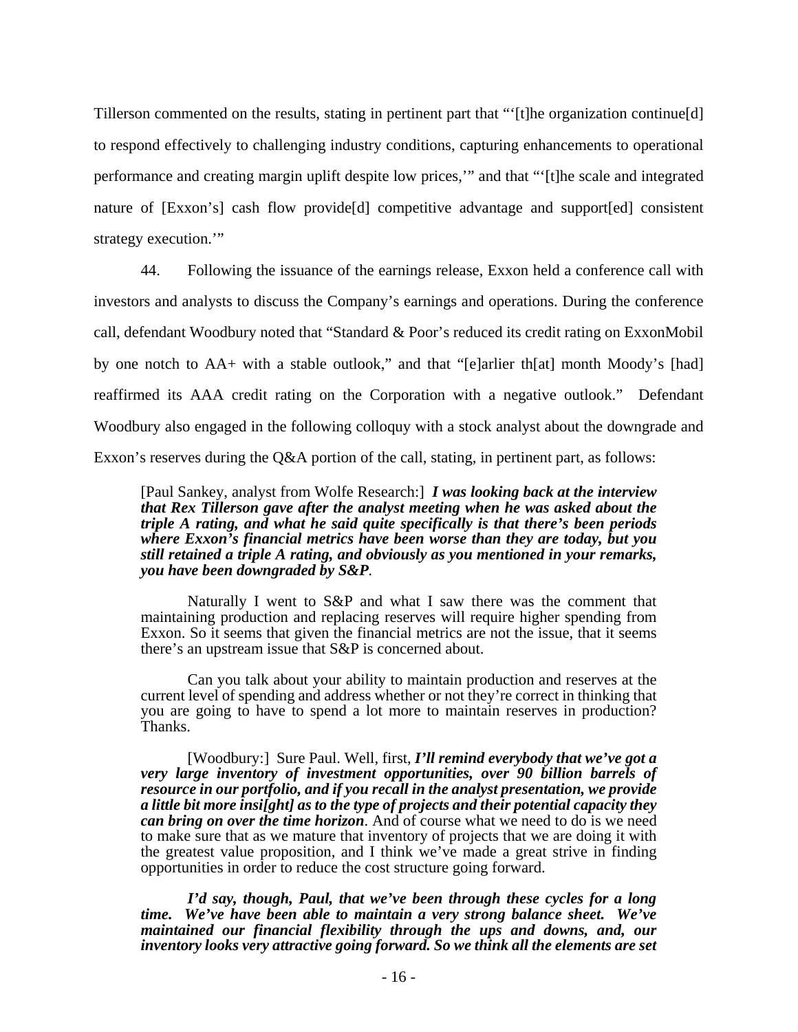Tillerson commented on the results, stating in pertinent part that "'[t]he organization continue[d] to respond effectively to challenging industry conditions, capturing enhancements to operational performance and creating margin uplift despite low prices,'" and that "'[t]he scale and integrated nature of [Exxon's] cash flow provide[d] competitive advantage and support[ed] consistent strategy execution.'"

44. Following the issuance of the earnings release, Exxon held a conference call with investors and analysts to discuss the Company's earnings and operations. During the conference call, defendant Woodbury noted that "Standard & Poor's reduced its credit rating on ExxonMobil by one notch to AA+ with a stable outlook," and that "[e]arlier th[at] month Moody's [had] reaffirmed its AAA credit rating on the Corporation with a negative outlook." Defendant Woodbury also engaged in the following colloquy with a stock analyst about the downgrade and Exxon's reserves during the Q&A portion of the call, stating, in pertinent part, as follows:

[Paul Sankey, analyst from Wolfe Research:]*I was looking back at the interview that Rex Tillerson gave after the analyst meeting when he was asked about the triple A rating, and what he said quite specifically is that there's been periods where Exxon's financial metrics have been worse than they are today, but you still retained a triple A rating, and obviously as you mentioned in your remarks, you have been downgraded by S&P.* 

Naturally I went to S&P and what I saw there was the comment that maintaining production and replacing reserves will require higher spending from Exxon. So it seems that given the financial metrics are not the issue, that it seems there's an upstream issue that S&P is concerned about.

Can you talk about your ability to maintain production and reserves at the current level of spending and address whether or not they're correct in thinking that you are going to have to spend a lot more to maintain reserves in production? Thanks.

[Woodbury:] Sure Paul. Well, first, *I'll remind everybody that we've got a very large inventory of investment opportunities, over 90 billion barrels of resource in our portfolio, and if you recall in the analyst presentation, we provide a little bit more insi[ght] as to the type of projects and their potential capacity they can bring on over the time horizon*. And of course what we need to do is we need to make sure that as we mature that inventory of projects that we are doing it with the greatest value proposition, and I think we've made a great strive in finding opportunities in order to reduce the cost structure going forward.

*I'd say, though, Paul, that we've been through these cycles for a long time. We've have been able to maintain a very strong balance sheet. We've maintained our financial flexibility through the ups and downs, and, our inventory looks very attractive going forward. So we think all the elements are set*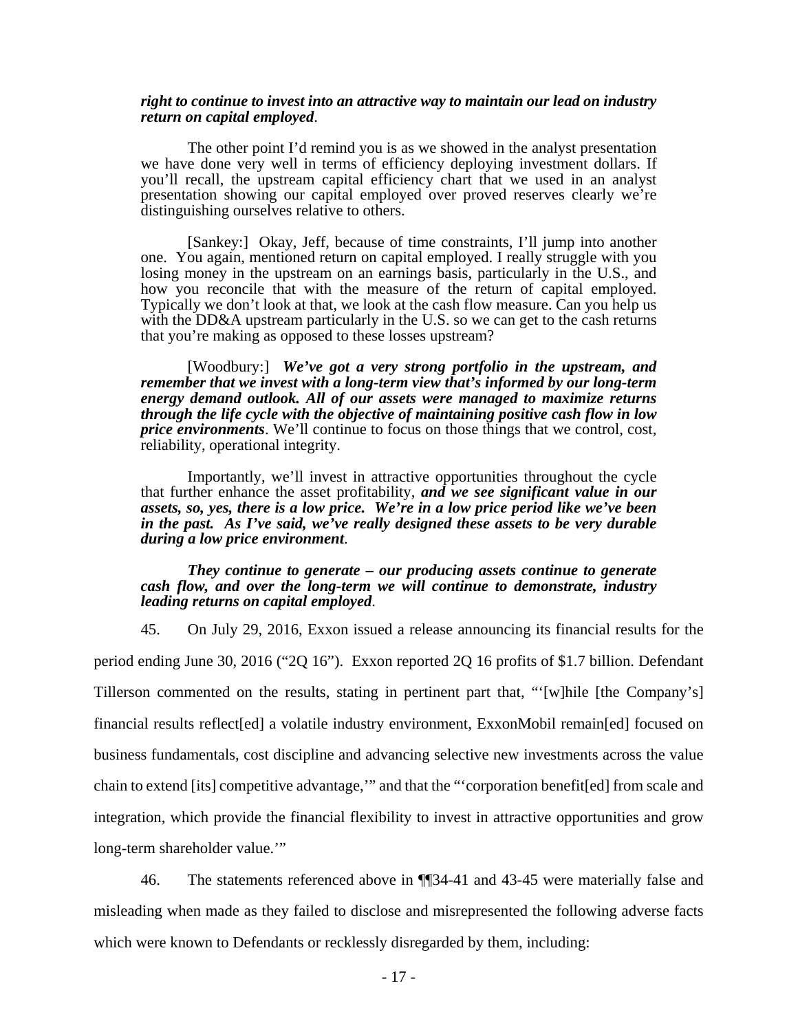#### *right to continue to invest into an attractive way to maintain our lead on industry return on capital employed*.

The other point I'd remind you is as we showed in the analyst presentation we have done very well in terms of efficiency deploying investment dollars. If you'll recall, the upstream capital efficiency chart that we used in an analyst presentation showing our capital employed over proved reserves clearly we're distinguishing ourselves relative to others.

[Sankey:] Okay, Jeff, because of time constraints, I'll jump into another one. You again, mentioned return on capital employed. I really struggle with you losing money in the upstream on an earnings basis, particularly in the U.S., and how you reconcile that with the measure of the return of capital employed. Typically we don't look at that, we look at the cash flow measure. Can you help us with the DD&A upstream particularly in the U.S. so we can get to the cash returns that you're making as opposed to these losses upstream?

[Woodbury:] *We've got a very strong portfolio in the upstream, and remember that we invest with a long-term view that's informed by our long-term energy demand outlook. All of our assets were managed to maximize returns through the life cycle with the objective of maintaining positive cash flow in low price environments*. We'll continue to focus on those things that we control, cost, reliability, operational integrity.

Importantly, we'll invest in attractive opportunities throughout the cycle that further enhance the asset profitability, *and we see significant value in our assets, so, yes, there is a low price. We're in a low price period like we've been in the past. As I've said, we've really designed these assets to be very durable during a low price environment*.

#### *They continue to generate – our producing assets continue to generate cash flow, and over the long-term we will continue to demonstrate, industry leading returns on capital employed*.

45. On July 29, 2016, Exxon issued a release announcing its financial results for the period ending June 30, 2016 ("2Q 16"). Exxon reported 2Q 16 profits of \$1.7 billion. Defendant Tillerson commented on the results, stating in pertinent part that, "'[w]hile [the Company's] financial results reflect[ed] a volatile industry environment, ExxonMobil remain[ed] focused on business fundamentals, cost discipline and advancing selective new investments across the value chain to extend [its] competitive advantage,'" and that the "'corporation benefit[ed] from scale and integration, which provide the financial flexibility to invest in attractive opportunities and grow long-term shareholder value.'"

46. The statements referenced above in ¶¶34-41 and 43-45 were materially false and misleading when made as they failed to disclose and misrepresented the following adverse facts which were known to Defendants or recklessly disregarded by them, including: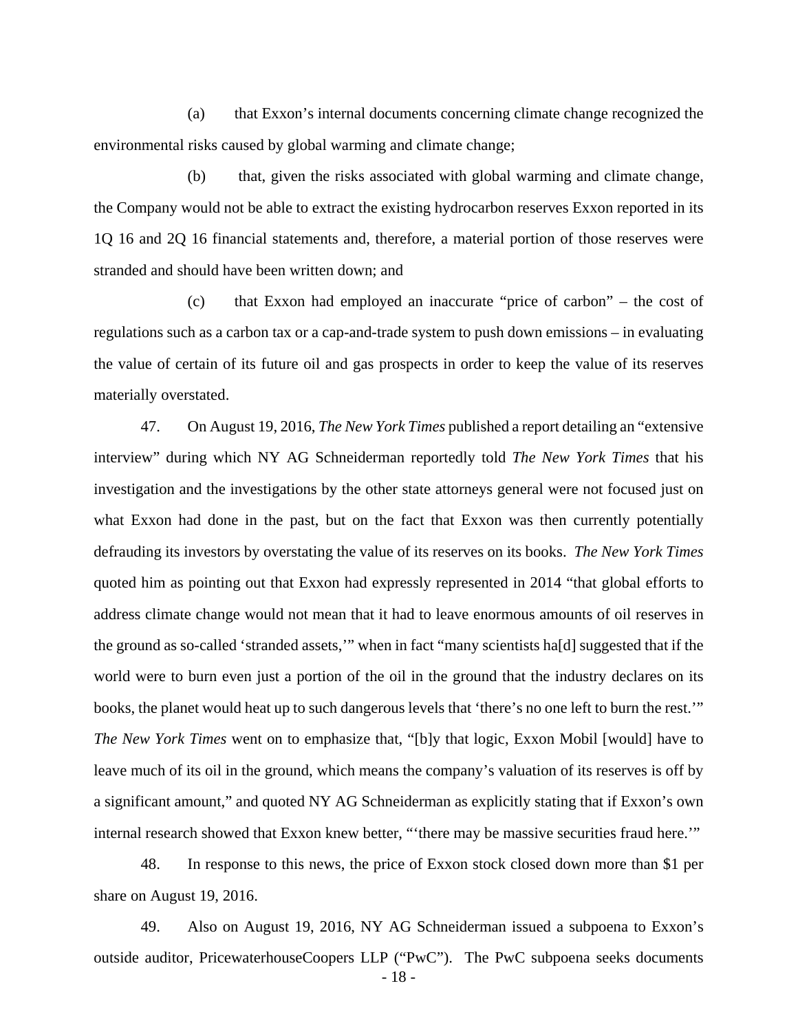(a) that Exxon's internal documents concerning climate change recognized the environmental risks caused by global warming and climate change;

(b) that, given the risks associated with global warming and climate change, the Company would not be able to extract the existing hydrocarbon reserves Exxon reported in its 1Q 16 and 2Q 16 financial statements and, therefore, a material portion of those reserves were stranded and should have been written down; and

(c) that Exxon had employed an inaccurate "price of carbon" – the cost of regulations such as a carbon tax or a cap-and-trade system to push down emissions – in evaluating the value of certain of its future oil and gas prospects in order to keep the value of its reserves materially overstated.

47. On August 19, 2016, *The New York Times* published a report detailing an "extensive interview" during which NY AG Schneiderman reportedly told *The New York Times* that his investigation and the investigations by the other state attorneys general were not focused just on what Exxon had done in the past, but on the fact that Exxon was then currently potentially defrauding its investors by overstating the value of its reserves on its books. *The New York Times*  quoted him as pointing out that Exxon had expressly represented in 2014 "that global efforts to address climate change would not mean that it had to leave enormous amounts of oil reserves in the ground as so-called 'stranded assets,'" when in fact "many scientists ha[d] suggested that if the world were to burn even just a portion of the oil in the ground that the industry declares on its books, the planet would heat up to such dangerous levels that 'there's no one left to burn the rest.'" *The New York Times* went on to emphasize that, "[b]y that logic, Exxon Mobil [would] have to leave much of its oil in the ground, which means the company's valuation of its reserves is off by a significant amount," and quoted NY AG Schneiderman as explicitly stating that if Exxon's own internal research showed that Exxon knew better, "'there may be massive securities fraud here.'"

48. In response to this news, the price of Exxon stock closed down more than \$1 per share on August 19, 2016.

- 18 - 49. Also on August 19, 2016, NY AG Schneiderman issued a subpoena to Exxon's outside auditor, PricewaterhouseCoopers LLP ("PwC"). The PwC subpoena seeks documents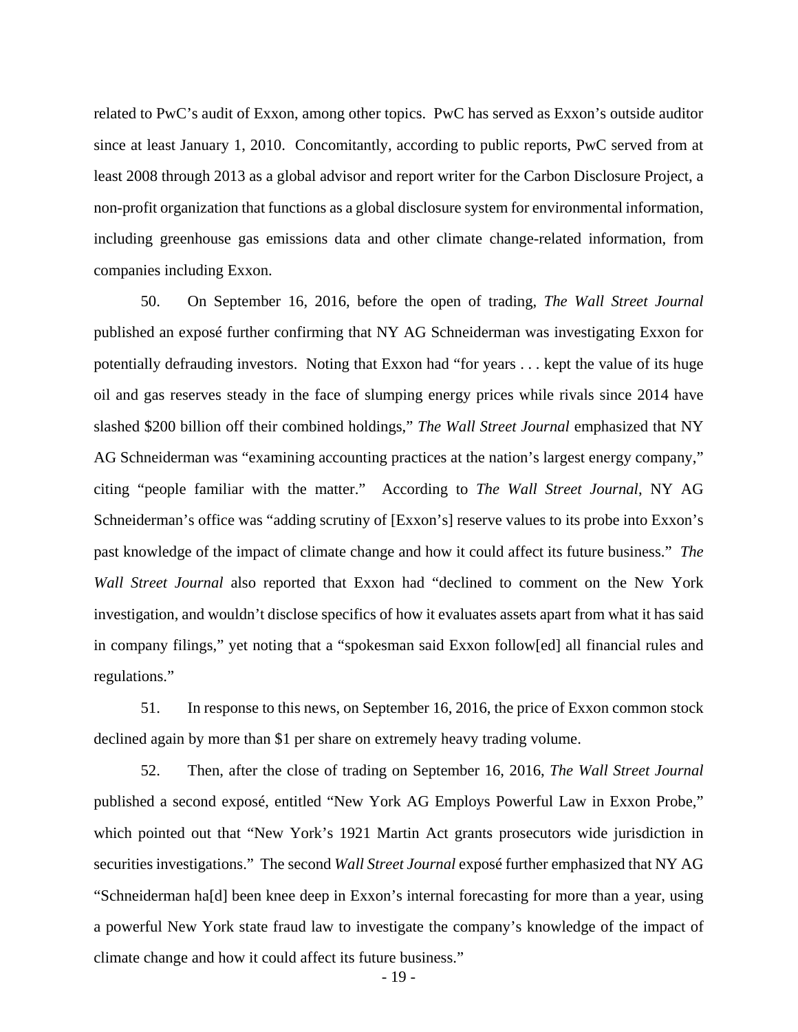related to PwC's audit of Exxon, among other topics. PwC has served as Exxon's outside auditor since at least January 1, 2010. Concomitantly, according to public reports, PwC served from at least 2008 through 2013 as a global advisor and report writer for the Carbon Disclosure Project, a non-profit organization that functions as a global disclosure system for environmental information, including greenhouse gas emissions data and other climate change-related information, from companies including Exxon.

50. On September 16, 2016, before the open of trading, *The Wall Street Journal* published an exposé further confirming that NY AG Schneiderman was investigating Exxon for potentially defrauding investors. Noting that Exxon had "for years . . . kept the value of its huge oil and gas reserves steady in the face of slumping energy prices while rivals since 2014 have slashed \$200 billion off their combined holdings," *The Wall Street Journal* emphasized that NY AG Schneiderman was "examining accounting practices at the nation's largest energy company," citing "people familiar with the matter." According to *The Wall Street Journal*, NY AG Schneiderman's office was "adding scrutiny of [Exxon's] reserve values to its probe into Exxon's past knowledge of the impact of climate change and how it could affect its future business." *The Wall Street Journal* also reported that Exxon had "declined to comment on the New York investigation, and wouldn't disclose specifics of how it evaluates assets apart from what it has said in company filings," yet noting that a "spokesman said Exxon follow[ed] all financial rules and regulations."

51. In response to this news, on September 16, 2016, the price of Exxon common stock declined again by more than \$1 per share on extremely heavy trading volume.

52. Then, after the close of trading on September 16, 2016, *The Wall Street Journal* published a second exposé, entitled "New York AG Employs Powerful Law in Exxon Probe," which pointed out that "New York's 1921 Martin Act grants prosecutors wide jurisdiction in securities investigations." The second *Wall Street Journal* exposé further emphasized that NY AG "Schneiderman ha[d] been knee deep in Exxon's internal forecasting for more than a year, using a powerful New York state fraud law to investigate the company's knowledge of the impact of climate change and how it could affect its future business."

- 19 -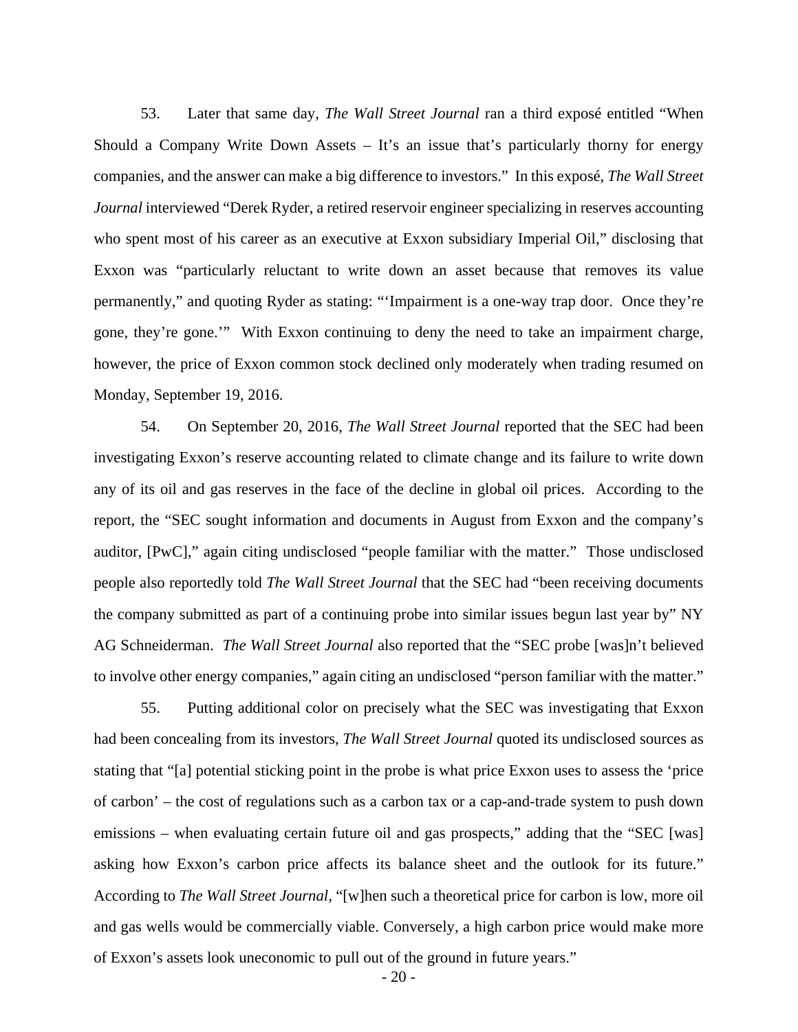53. Later that same day, *The Wall Street Journal* ran a third exposé entitled "When Should a Company Write Down Assets – It's an issue that's particularly thorny for energy companies, and the answer can make a big difference to investors." In this exposé, *The Wall Street Journal* interviewed "Derek Ryder, a retired reservoir engineer specializing in reserves accounting who spent most of his career as an executive at Exxon subsidiary Imperial Oil," disclosing that Exxon was "particularly reluctant to write down an asset because that removes its value permanently," and quoting Ryder as stating: "'Impairment is a one-way trap door. Once they're gone, they're gone.'" With Exxon continuing to deny the need to take an impairment charge, however, the price of Exxon common stock declined only moderately when trading resumed on Monday, September 19, 2016.

54. On September 20, 2016, *The Wall Street Journal* reported that the SEC had been investigating Exxon's reserve accounting related to climate change and its failure to write down any of its oil and gas reserves in the face of the decline in global oil prices. According to the report, the "SEC sought information and documents in August from Exxon and the company's auditor, [PwC]," again citing undisclosed "people familiar with the matter." Those undisclosed people also reportedly told *The Wall Street Journal* that the SEC had "been receiving documents the company submitted as part of a continuing probe into similar issues begun last year by" NY AG Schneiderman. *The Wall Street Journal* also reported that the "SEC probe [was]n't believed to involve other energy companies," again citing an undisclosed "person familiar with the matter."

55. Putting additional color on precisely what the SEC was investigating that Exxon had been concealing from its investors, *The Wall Street Journal* quoted its undisclosed sources as stating that "[a] potential sticking point in the probe is what price Exxon uses to assess the 'price of carbon' – the cost of regulations such as a carbon tax or a cap-and-trade system to push down emissions – when evaluating certain future oil and gas prospects," adding that the "SEC [was] asking how Exxon's carbon price affects its balance sheet and the outlook for its future." According to *The Wall Street Journal*, "[w]hen such a theoretical price for carbon is low, more oil and gas wells would be commercially viable. Conversely, a high carbon price would make more of Exxon's assets look uneconomic to pull out of the ground in future years."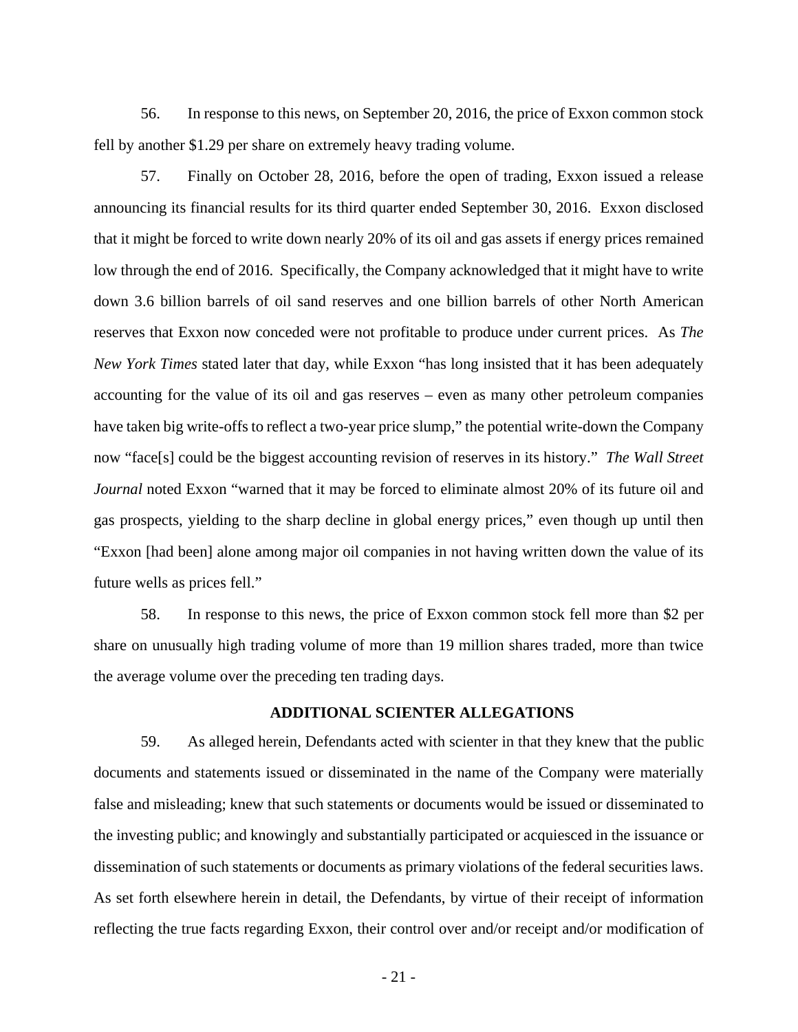56. In response to this news, on September 20, 2016, the price of Exxon common stock fell by another \$1.29 per share on extremely heavy trading volume.

57. Finally on October 28, 2016, before the open of trading, Exxon issued a release announcing its financial results for its third quarter ended September 30, 2016. Exxon disclosed that it might be forced to write down nearly 20% of its oil and gas assets if energy prices remained low through the end of 2016. Specifically, the Company acknowledged that it might have to write down 3.6 billion barrels of oil sand reserves and one billion barrels of other North American reserves that Exxon now conceded were not profitable to produce under current prices. As *The New York Times* stated later that day, while Exxon "has long insisted that it has been adequately accounting for the value of its oil and gas reserves – even as many other petroleum companies have taken big write-offs to reflect a two-year price slump," the potential write-down the Company now "face[s] could be the biggest accounting revision of reserves in its history." *The Wall Street Journal* noted Exxon "warned that it may be forced to eliminate almost 20% of its future oil and gas prospects, yielding to the sharp decline in global energy prices," even though up until then "Exxon [had been] alone among major oil companies in not having written down the value of its future wells as prices fell."

58. In response to this news, the price of Exxon common stock fell more than \$2 per share on unusually high trading volume of more than 19 million shares traded, more than twice the average volume over the preceding ten trading days.

### **ADDITIONAL SCIENTER ALLEGATIONS**

59. As alleged herein, Defendants acted with scienter in that they knew that the public documents and statements issued or disseminated in the name of the Company were materially false and misleading; knew that such statements or documents would be issued or disseminated to the investing public; and knowingly and substantially participated or acquiesced in the issuance or dissemination of such statements or documents as primary violations of the federal securities laws. As set forth elsewhere herein in detail, the Defendants, by virtue of their receipt of information reflecting the true facts regarding Exxon, their control over and/or receipt and/or modification of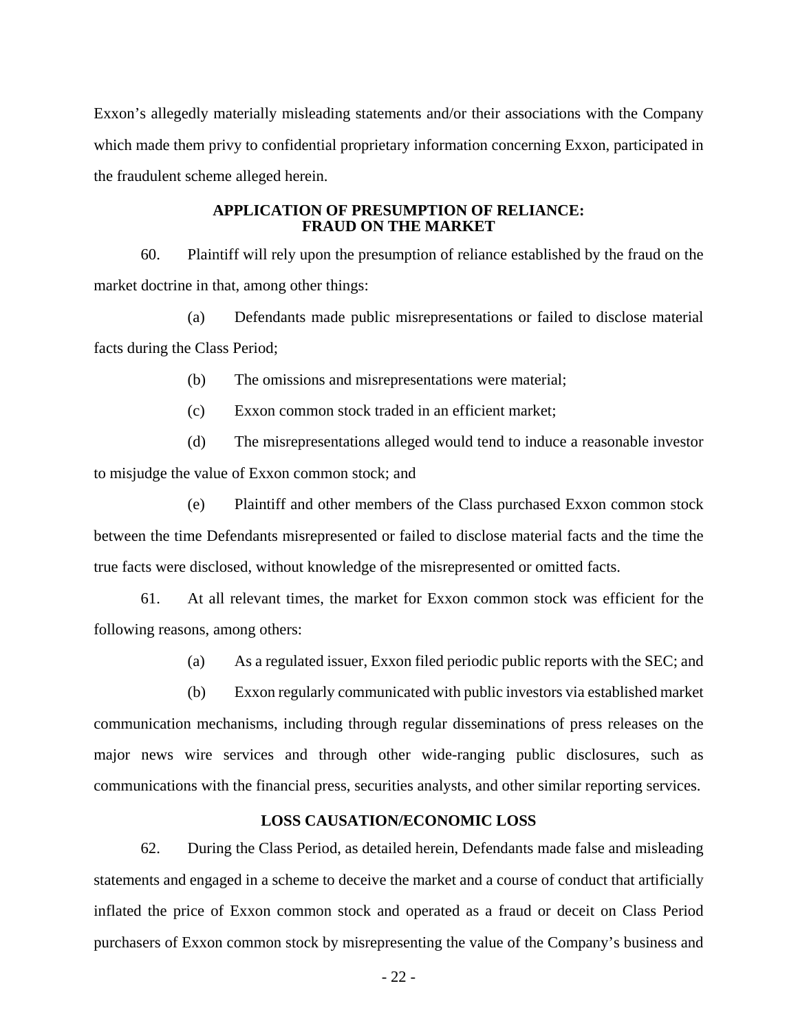Exxon's allegedly materially misleading statements and/or their associations with the Company which made them privy to confidential proprietary information concerning Exxon, participated in the fraudulent scheme alleged herein.

#### **APPLICATION OF PRESUMPTION OF RELIANCE: FRAUD ON THE MARKET**

60. Plaintiff will rely upon the presumption of reliance established by the fraud on the market doctrine in that, among other things:

(a) Defendants made public misrepresentations or failed to disclose material facts during the Class Period;

(b) The omissions and misrepresentations were material;

(c) Exxon common stock traded in an efficient market;

(d) The misrepresentations alleged would tend to induce a reasonable investor to misjudge the value of Exxon common stock; and

(e) Plaintiff and other members of the Class purchased Exxon common stock between the time Defendants misrepresented or failed to disclose material facts and the time the true facts were disclosed, without knowledge of the misrepresented or omitted facts.

61. At all relevant times, the market for Exxon common stock was efficient for the following reasons, among others:

(a) As a regulated issuer, Exxon filed periodic public reports with the SEC; and

(b) Exxon regularly communicated with public investors via established market communication mechanisms, including through regular disseminations of press releases on the major news wire services and through other wide-ranging public disclosures, such as communications with the financial press, securities analysts, and other similar reporting services.

## **LOSS CAUSATION/ECONOMIC LOSS**

62. During the Class Period, as detailed herein, Defendants made false and misleading statements and engaged in a scheme to deceive the market and a course of conduct that artificially inflated the price of Exxon common stock and operated as a fraud or deceit on Class Period purchasers of Exxon common stock by misrepresenting the value of the Company's business and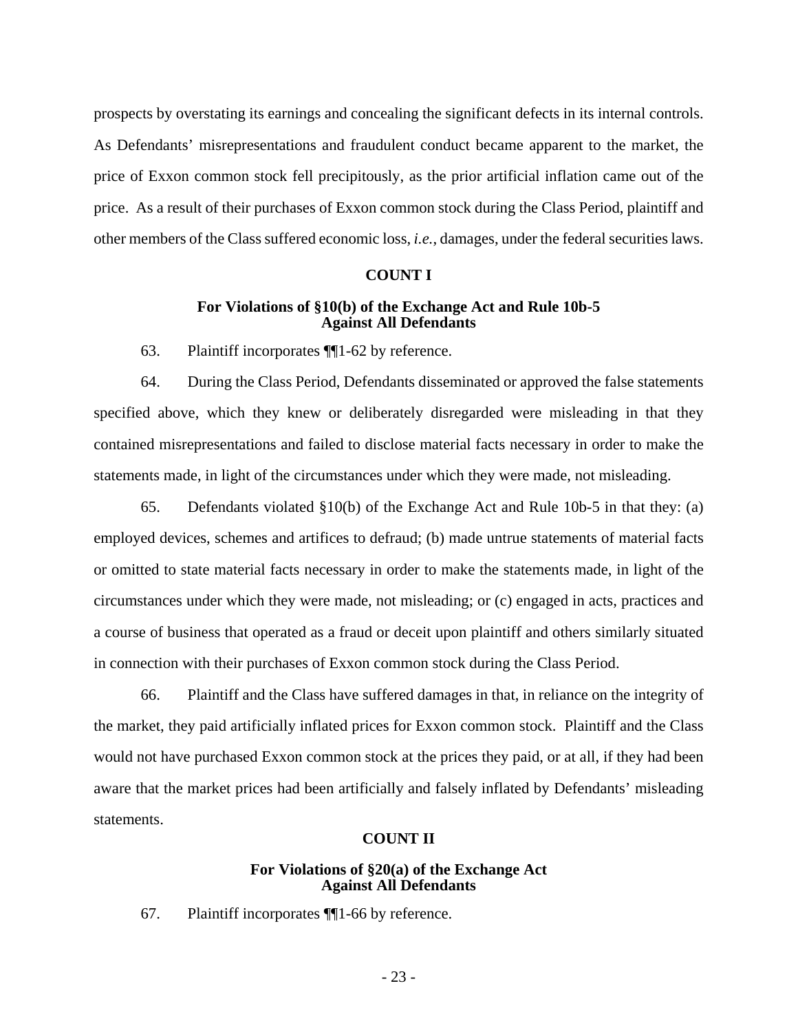prospects by overstating its earnings and concealing the significant defects in its internal controls. As Defendants' misrepresentations and fraudulent conduct became apparent to the market, the price of Exxon common stock fell precipitously, as the prior artificial inflation came out of the price. As a result of their purchases of Exxon common stock during the Class Period, plaintiff and other members of the Class suffered economic loss, *i.e.*, damages, under the federal securities laws.

### **COUNT I**

### **For Violations of §10(b) of the Exchange Act and Rule 10b-5 Against All Defendants**

63. Plaintiff incorporates ¶¶1-62 by reference.

64. During the Class Period, Defendants disseminated or approved the false statements specified above, which they knew or deliberately disregarded were misleading in that they contained misrepresentations and failed to disclose material facts necessary in order to make the statements made, in light of the circumstances under which they were made, not misleading.

65. Defendants violated §10(b) of the Exchange Act and Rule 10b-5 in that they: (a) employed devices, schemes and artifices to defraud; (b) made untrue statements of material facts or omitted to state material facts necessary in order to make the statements made, in light of the circumstances under which they were made, not misleading; or (c) engaged in acts, practices and a course of business that operated as a fraud or deceit upon plaintiff and others similarly situated in connection with their purchases of Exxon common stock during the Class Period.

66. Plaintiff and the Class have suffered damages in that, in reliance on the integrity of the market, they paid artificially inflated prices for Exxon common stock. Plaintiff and the Class would not have purchased Exxon common stock at the prices they paid, or at all, if they had been aware that the market prices had been artificially and falsely inflated by Defendants' misleading statements.

# **COUNT II**

### **For Violations of §20(a) of the Exchange Act Against All Defendants**

67. Plaintiff incorporates ¶¶1-66 by reference.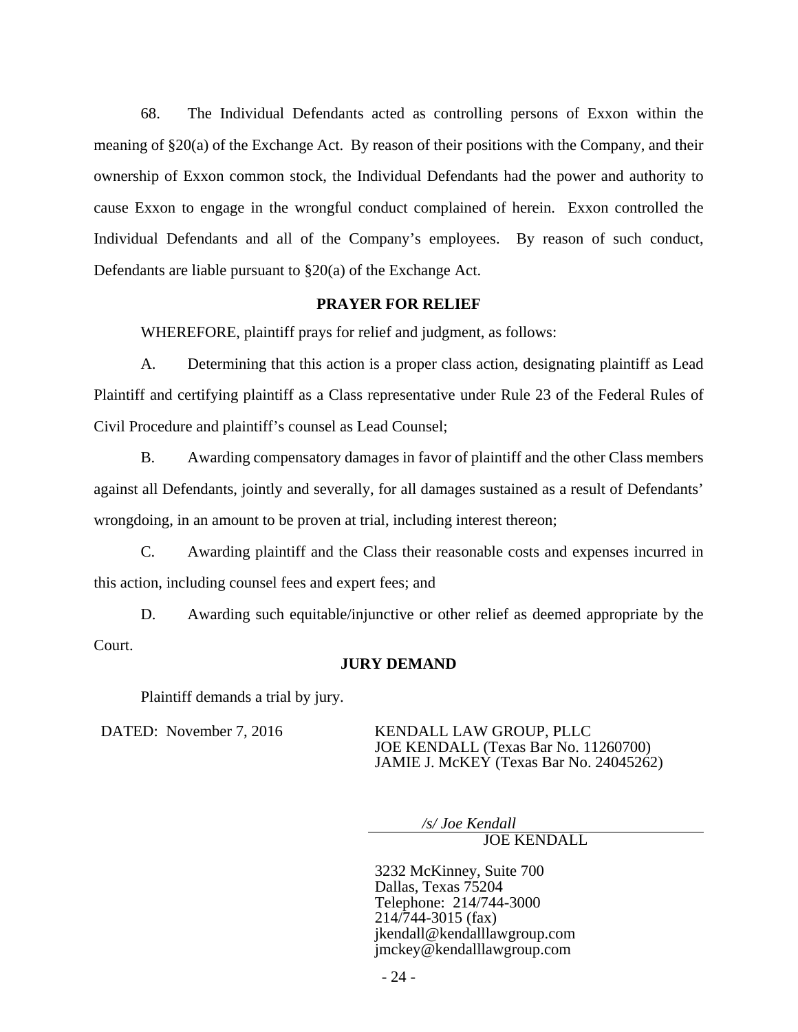68. The Individual Defendants acted as controlling persons of Exxon within the meaning of §20(a) of the Exchange Act. By reason of their positions with the Company, and their ownership of Exxon common stock, the Individual Defendants had the power and authority to cause Exxon to engage in the wrongful conduct complained of herein. Exxon controlled the Individual Defendants and all of the Company's employees. By reason of such conduct, Defendants are liable pursuant to §20(a) of the Exchange Act.

## **PRAYER FOR RELIEF**

WHEREFORE, plaintiff prays for relief and judgment, as follows:

A. Determining that this action is a proper class action, designating plaintiff as Lead Plaintiff and certifying plaintiff as a Class representative under Rule 23 of the Federal Rules of Civil Procedure and plaintiff's counsel as Lead Counsel;

B. Awarding compensatory damages in favor of plaintiff and the other Class members against all Defendants, jointly and severally, for all damages sustained as a result of Defendants' wrongdoing, in an amount to be proven at trial, including interest thereon;

C. Awarding plaintiff and the Class their reasonable costs and expenses incurred in this action, including counsel fees and expert fees; and

D. Awarding such equitable/injunctive or other relief as deemed appropriate by the Court.

## **JURY DEMAND**

Plaintiff demands a trial by jury.

DATED: November 7, 2016 KENDALL LAW GROUP, PLLC JOE KENDALL (Texas Bar No. 11260700) JAMIE J. McKEY (Texas Bar No. 24045262)

*/s/ Joe Kendall*

JOE KENDALL

3232 McKinney, Suite 700 Dallas, Texas 75204 Telephone: 214/744-3000 214/744-3015 (fax) jkendall@kendalllawgroup.com jmckey@kendalllawgroup.com

- 24 -